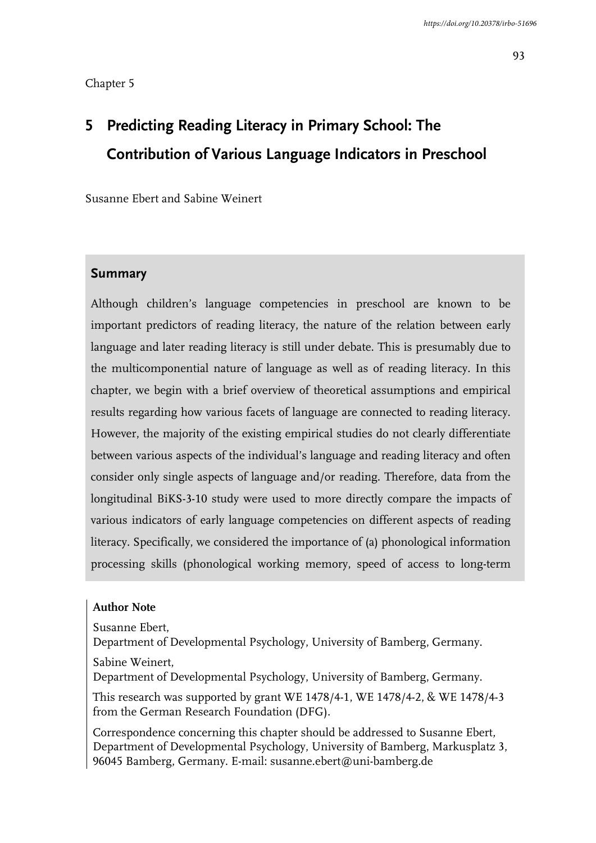#### Chapter 5

# **5 Predicting Reading Literacy in Primary School: The Contribution of Various Language Indicators in Preschool**

Susanne Ebert and Sabine Weinert

# **Summary**

Although children's language competencies in preschool are known to be important predictors of reading literacy, the nature of the relation between early language and later reading literacy is still under debate. This is presumably due to the multicomponential nature of language as well as of reading literacy. In this chapter, we begin with a brief overview of theoretical assumptions and empirical results regarding how various facets of language are connected to reading literacy. However, the majority of the existing empirical studies do not clearly differentiate between various aspects of the individual's language and reading literacy and often consider only single aspects of language and/or reading. Therefore, data from the longitudinal BiKS-3-10 study were used to more directly compare the impacts of various indicators of early language competencies on different aspects of reading literacy. Specifically, we considered the importance of (a) phonological information processing skills (phonological working memory, speed of access to long-term

#### **Author Note**

Susanne Ebert,

Department of Developmental Psychology, University of Bamberg, Germany.

Sabine Weinert,

Department of Developmental Psychology, University of Bamberg, Germany.

This research was supported by grant WE 1478/4-1, WE 1478/4-2, & WE 1478/4-3 from the German Research Foundation (DFG).

Correspondence concerning this chapter should be addressed to Susanne Ebert, Department of Developmental Psychology, University of Bamberg, Markusplatz 3, 96045 Bamberg, Germany. E-mail: susanne.ebert@uni-bamberg.de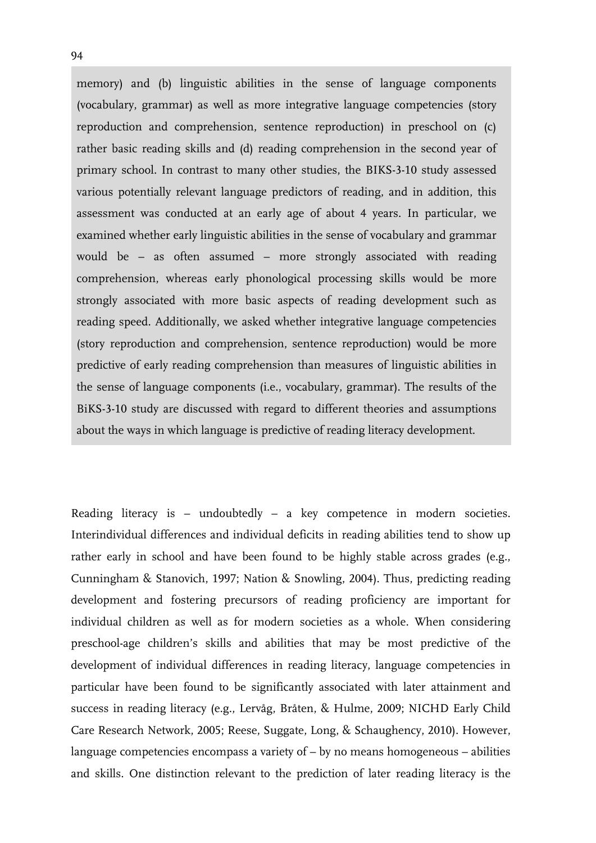memory) and (b) linguistic abilities in the sense of language components (vocabulary, grammar) as well as more integrative language competencies (story reproduction and comprehension, sentence reproduction) in preschool on (c) rather basic reading skills and (d) reading comprehension in the second year of primary school. In contrast to many other studies, the BIKS-3-10 study assessed various potentially relevant language predictors of reading, and in addition, this assessment was conducted at an early age of about 4 years. In particular, we examined whether early linguistic abilities in the sense of vocabulary and grammar would be – as often assumed – more strongly associated with reading comprehension, whereas early phonological processing skills would be more strongly associated with more basic aspects of reading development such as reading speed. Additionally, we asked whether integrative language competencies (story reproduction and comprehension, sentence reproduction) would be more predictive of early reading comprehension than measures of linguistic abilities in the sense of language components (i.e., vocabulary, grammar). The results of the BiKS-3-10 study are discussed with regard to different theories and assumptions about the ways in which language is predictive of reading literacy development.

Reading literacy is – undoubtedly – a key competence in modern societies. Interindividual differences and individual deficits in reading abilities tend to show up rather early in school and have been found to be highly stable across grades (e.g., Cunningham & Stanovich, 1997; Nation & Snowling, 2004). Thus, predicting reading development and fostering precursors of reading proficiency are important for individual children as well as for modern societies as a whole. When considering preschool-age children's skills and abilities that may be most predictive of the development of individual differences in reading literacy, language competencies in particular have been found to be significantly associated with later attainment and success in reading literacy (e.g., Lervåg, Bråten, & Hulme, 2009; NICHD Early Child Care Research Network, 2005; Reese, Suggate, Long, & Schaughency, 2010). However, language competencies encompass a variety of  $-$  by no means homogeneous  $-$  abilities and skills. One distinction relevant to the prediction of later reading literacy is the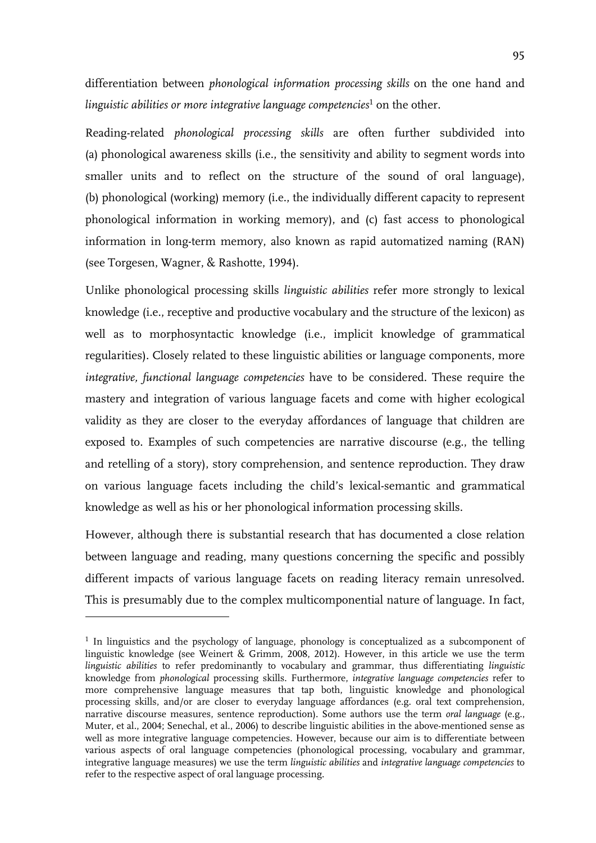differentiation between *phonological information processing skills* on the one hand and linguistic abilities or more integrative language competencies<sup>1</sup> on the other.

Reading-related *phonological processing skills* are often further subdivided into (a) phonological awareness skills (i.e., the sensitivity and ability to segment words into smaller units and to reflect on the structure of the sound of oral language), (b) phonological (working) memory (i.e., the individually different capacity to represent phonological information in working memory), and (c) fast access to phonological information in long-term memory, also known as rapid automatized naming (RAN) (see Torgesen, Wagner, & Rashotte, 1994).

Unlike phonological processing skills *linguistic abilities* refer more strongly to lexical knowledge (i.e., receptive and productive vocabulary and the structure of the lexicon) as well as to morphosyntactic knowledge (i.e., implicit knowledge of grammatical regularities). Closely related to these linguistic abilities or language components, more *integrative, functional language competencies* have to be considered. These require the mastery and integration of various language facets and come with higher ecological validity as they are closer to the everyday affordances of language that children are exposed to. Examples of such competencies are narrative discourse (e.g., the telling and retelling of a story), story comprehension, and sentence reproduction. They draw on various language facets including the child's lexical-semantic and grammatical knowledge as well as his or her phonological information processing skills.

However, although there is substantial research that has documented a close relation between language and reading, many questions concerning the specific and possibly different impacts of various language facets on reading literacy remain unresolved. This is presumably due to the complex multicomponential nature of language. In fact,

-

<sup>&</sup>lt;sup>1</sup> In linguistics and the psychology of language, phonology is conceptualized as a subcomponent of linguistic knowledge (see Weinert & Grimm, 2008, 2012). However, in this article we use the term *linguistic abilities* to refer predominantly to vocabulary and grammar, thus differentiating *linguistic* knowledge from *phonological* processing skills. Furthermore, *integrative language competencies* refer to more comprehensive language measures that tap both, linguistic knowledge and phonological processing skills, and/or are closer to everyday language affordances (e.g. oral text comprehension, narrative discourse measures, sentence reproduction). Some authors use the term *oral language* (e.g., Muter, et al., 2004; Senechal, et al., 2006) to describe linguistic abilities in the above-mentioned sense as well as more integrative language competencies. However, because our aim is to differentiate between various aspects of oral language competencies (phonological processing, vocabulary and grammar, integrative language measures) we use the term *linguistic abilities* and *integrative language competencies* to refer to the respective aspect of oral language processing.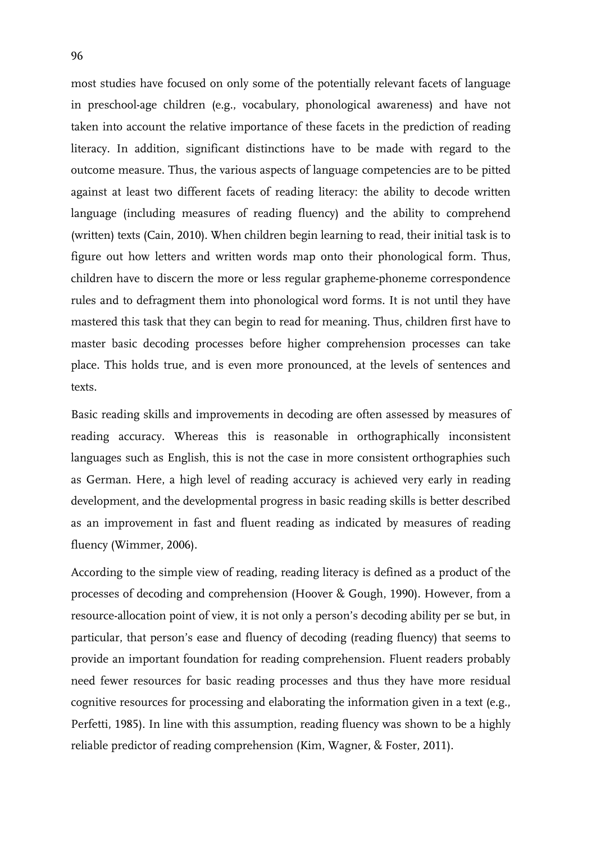most studies have focused on only some of the potentially relevant facets of language in preschool-age children (e.g., vocabulary, phonological awareness) and have not taken into account the relative importance of these facets in the prediction of reading literacy. In addition, significant distinctions have to be made with regard to the outcome measure. Thus, the various aspects of language competencies are to be pitted against at least two different facets of reading literacy: the ability to decode written language (including measures of reading fluency) and the ability to comprehend (written) texts (Cain, 2010). When children begin learning to read, their initial task is to figure out how letters and written words map onto their phonological form. Thus, children have to discern the more or less regular grapheme-phoneme correspondence rules and to defragment them into phonological word forms. It is not until they have mastered this task that they can begin to read for meaning. Thus, children first have to master basic decoding processes before higher comprehension processes can take place. This holds true, and is even more pronounced, at the levels of sentences and texts.

Basic reading skills and improvements in decoding are often assessed by measures of reading accuracy. Whereas this is reasonable in orthographically inconsistent languages such as English, this is not the case in more consistent orthographies such as German. Here, a high level of reading accuracy is achieved very early in reading development, and the developmental progress in basic reading skills is better described as an improvement in fast and fluent reading as indicated by measures of reading fluency (Wimmer, 2006).

According to the simple view of reading, reading literacy is defined as a product of the processes of decoding and comprehension (Hoover & Gough, 1990). However, from a resource-allocation point of view, it is not only a person's decoding ability per se but, in particular, that person's ease and fluency of decoding (reading fluency) that seems to provide an important foundation for reading comprehension. Fluent readers probably need fewer resources for basic reading processes and thus they have more residual cognitive resources for processing and elaborating the information given in a text (e.g., Perfetti, 1985). In line with this assumption, reading fluency was shown to be a highly reliable predictor of reading comprehension (Kim, Wagner, & Foster, 2011).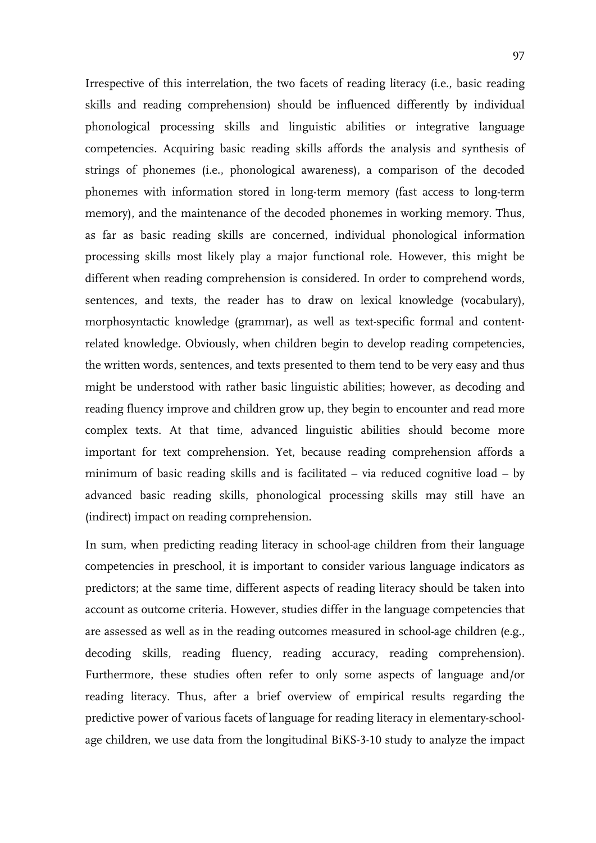Irrespective of this interrelation, the two facets of reading literacy (i.e., basic reading skills and reading comprehension) should be influenced differently by individual phonological processing skills and linguistic abilities or integrative language competencies. Acquiring basic reading skills affords the analysis and synthesis of strings of phonemes (i.e., phonological awareness), a comparison of the decoded phonemes with information stored in long-term memory (fast access to long-term memory), and the maintenance of the decoded phonemes in working memory. Thus, as far as basic reading skills are concerned, individual phonological information processing skills most likely play a major functional role. However, this might be different when reading comprehension is considered. In order to comprehend words, sentences, and texts, the reader has to draw on lexical knowledge (vocabulary), morphosyntactic knowledge (grammar), as well as text-specific formal and contentrelated knowledge. Obviously, when children begin to develop reading competencies, the written words, sentences, and texts presented to them tend to be very easy and thus might be understood with rather basic linguistic abilities; however, as decoding and reading fluency improve and children grow up, they begin to encounter and read more complex texts. At that time, advanced linguistic abilities should become more important for text comprehension. Yet, because reading comprehension affords a minimum of basic reading skills and is facilitated – via reduced cognitive load – by advanced basic reading skills, phonological processing skills may still have an (indirect) impact on reading comprehension.

In sum, when predicting reading literacy in school-age children from their language competencies in preschool, it is important to consider various language indicators as predictors; at the same time, different aspects of reading literacy should be taken into account as outcome criteria. However, studies differ in the language competencies that are assessed as well as in the reading outcomes measured in school-age children (e.g., decoding skills, reading fluency, reading accuracy, reading comprehension). Furthermore, these studies often refer to only some aspects of language and/or reading literacy. Thus, after a brief overview of empirical results regarding the predictive power of various facets of language for reading literacy in elementary-schoolage children, we use data from the longitudinal BiKS-3-10 study to analyze the impact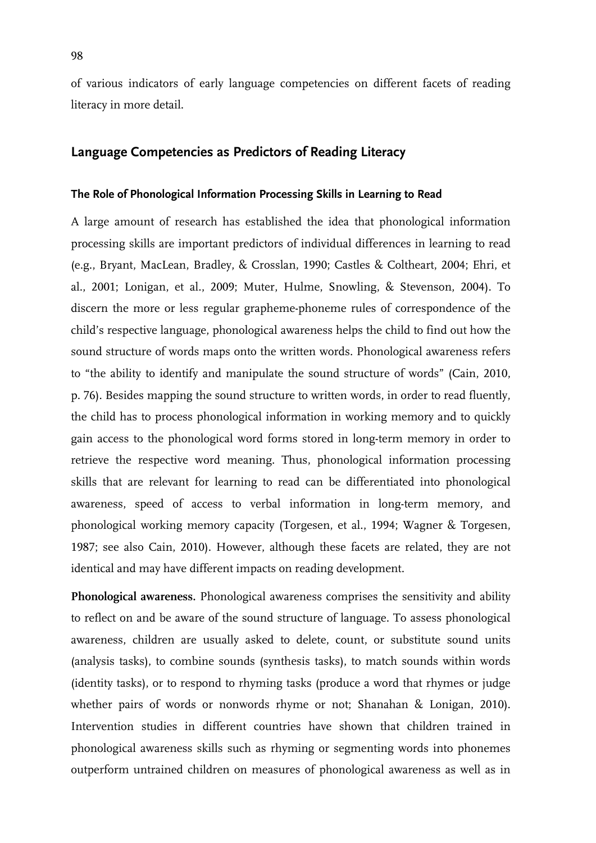of various indicators of early language competencies on different facets of reading literacy in more detail.

# **Language Competencies as Predictors of Reading Literacy**

## **The Role of Phonological Information Processing Skills in Learning to Read**

A large amount of research has established the idea that phonological information processing skills are important predictors of individual differences in learning to read (e.g., Bryant, MacLean, Bradley, & Crosslan, 1990; Castles & Coltheart, 2004; Ehri, et al., 2001; Lonigan, et al., 2009; Muter, Hulme, Snowling, & Stevenson, 2004). To discern the more or less regular grapheme-phoneme rules of correspondence of the child's respective language, phonological awareness helps the child to find out how the sound structure of words maps onto the written words. Phonological awareness refers to "the ability to identify and manipulate the sound structure of words" (Cain, 2010, p. 76). Besides mapping the sound structure to written words, in order to read fluently, the child has to process phonological information in working memory and to quickly gain access to the phonological word forms stored in long-term memory in order to retrieve the respective word meaning. Thus, phonological information processing skills that are relevant for learning to read can be differentiated into phonological awareness, speed of access to verbal information in long-term memory, and phonological working memory capacity (Torgesen, et al., 1994; Wagner & Torgesen, 1987; see also Cain, 2010). However, although these facets are related, they are not identical and may have different impacts on reading development.

**Phonological awareness.** Phonological awareness comprises the sensitivity and ability to reflect on and be aware of the sound structure of language. To assess phonological awareness, children are usually asked to delete, count, or substitute sound units (analysis tasks), to combine sounds (synthesis tasks), to match sounds within words (identity tasks), or to respond to rhyming tasks (produce a word that rhymes or judge whether pairs of words or nonwords rhyme or not; Shanahan & Lonigan, 2010). Intervention studies in different countries have shown that children trained in phonological awareness skills such as rhyming or segmenting words into phonemes outperform untrained children on measures of phonological awareness as well as in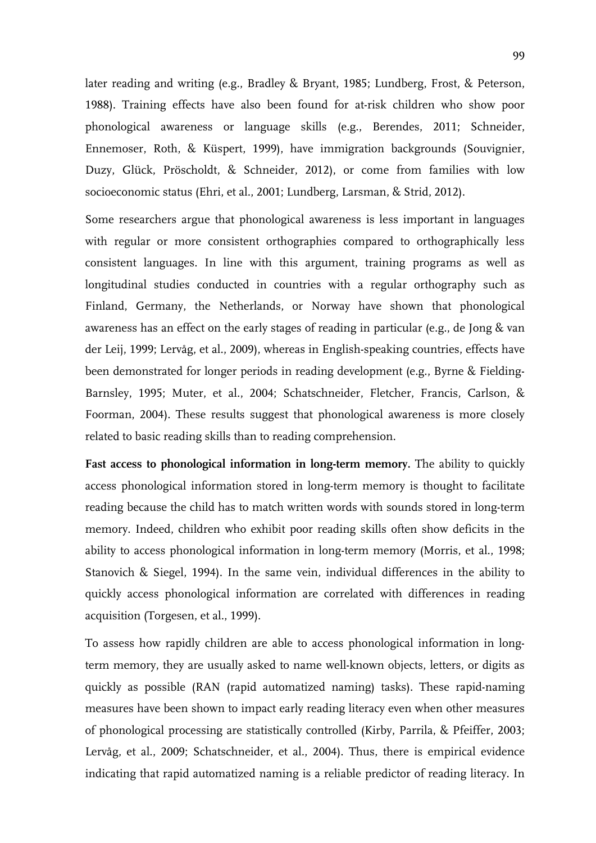later reading and writing (e.g., Bradley & Bryant, 1985; Lundberg, Frost, & Peterson, 1988). Training effects have also been found for at-risk children who show poor phonological awareness or language skills (e.g., Berendes, 2011; Schneider, Ennemoser, Roth, & Küspert, 1999), have immigration backgrounds (Souvignier, Duzy, Glück, Pröscholdt, & Schneider, 2012), or come from families with low socioeconomic status (Ehri, et al., 2001; Lundberg, Larsman, & Strid, 2012).

Some researchers argue that phonological awareness is less important in languages with regular or more consistent orthographies compared to orthographically less consistent languages. In line with this argument, training programs as well as longitudinal studies conducted in countries with a regular orthography such as Finland, Germany, the Netherlands, or Norway have shown that phonological awareness has an effect on the early stages of reading in particular (e.g., de Jong & van der Leij, 1999; Lervåg, et al., 2009), whereas in English-speaking countries, effects have been demonstrated for longer periods in reading development (e.g., Byrne & Fielding-Barnsley, 1995; Muter, et al., 2004; Schatschneider, Fletcher, Francis, Carlson, & Foorman, 2004). These results suggest that phonological awareness is more closely related to basic reading skills than to reading comprehension.

**Fast access to phonological information in long-term memory.** The ability to quickly access phonological information stored in long-term memory is thought to facilitate reading because the child has to match written words with sounds stored in long-term memory. Indeed, children who exhibit poor reading skills often show deficits in the ability to access phonological information in long-term memory (Morris, et al., 1998; Stanovich & Siegel, 1994). In the same vein, individual differences in the ability to quickly access phonological information are correlated with differences in reading acquisition (Torgesen, et al., 1999).

To assess how rapidly children are able to access phonological information in longterm memory, they are usually asked to name well-known objects, letters, or digits as quickly as possible (RAN (rapid automatized naming) tasks). These rapid-naming measures have been shown to impact early reading literacy even when other measures of phonological processing are statistically controlled (Kirby, Parrila, & Pfeiffer, 2003; Lervåg, et al., 2009; Schatschneider, et al., 2004). Thus, there is empirical evidence indicating that rapid automatized naming is a reliable predictor of reading literacy. In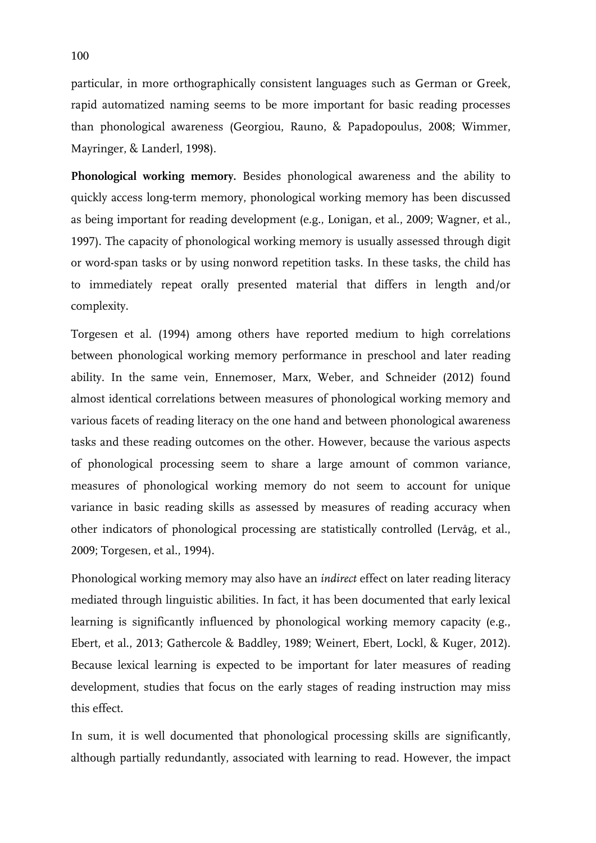particular, in more orthographically consistent languages such as German or Greek, rapid automatized naming seems to be more important for basic reading processes than phonological awareness (Georgiou, Rauno, & Papadopoulus, 2008; Wimmer, Mayringer, & Landerl, 1998).

**Phonological working memory.** Besides phonological awareness and the ability to quickly access long-term memory, phonological working memory has been discussed as being important for reading development (e.g., Lonigan, et al., 2009; Wagner, et al., 1997). The capacity of phonological working memory is usually assessed through digit or word-span tasks or by using nonword repetition tasks. In these tasks, the child has to immediately repeat orally presented material that differs in length and/or complexity.

Torgesen et al. (1994) among others have reported medium to high correlations between phonological working memory performance in preschool and later reading ability. In the same vein, Ennemoser, Marx, Weber, and Schneider (2012) found almost identical correlations between measures of phonological working memory and various facets of reading literacy on the one hand and between phonological awareness tasks and these reading outcomes on the other. However, because the various aspects of phonological processing seem to share a large amount of common variance, measures of phonological working memory do not seem to account for unique variance in basic reading skills as assessed by measures of reading accuracy when other indicators of phonological processing are statistically controlled (Lervåg, et al., 2009; Torgesen, et al., 1994).

Phonological working memory may also have an *indirect* effect on later reading literacy mediated through linguistic abilities. In fact, it has been documented that early lexical learning is significantly influenced by phonological working memory capacity (e.g., Ebert, et al., 2013; Gathercole & Baddley, 1989; Weinert, Ebert, Lockl, & Kuger, 2012). Because lexical learning is expected to be important for later measures of reading development, studies that focus on the early stages of reading instruction may miss this effect.

In sum, it is well documented that phonological processing skills are significantly, although partially redundantly, associated with learning to read. However, the impact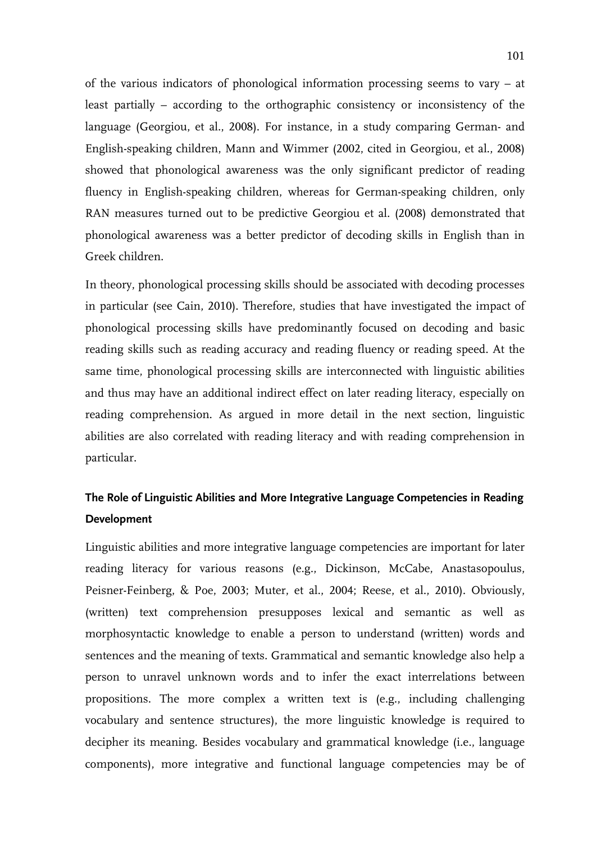of the various indicators of phonological information processing seems to vary – at least partially – according to the orthographic consistency or inconsistency of the language (Georgiou, et al., 2008). For instance, in a study comparing German- and English-speaking children, Mann and Wimmer (2002, cited in Georgiou, et al., 2008) showed that phonological awareness was the only significant predictor of reading fluency in English-speaking children, whereas for German-speaking children, only RAN measures turned out to be predictive Georgiou et al. (2008) demonstrated that phonological awareness was a better predictor of decoding skills in English than in Greek children.

In theory, phonological processing skills should be associated with decoding processes in particular (see Cain, 2010). Therefore, studies that have investigated the impact of phonological processing skills have predominantly focused on decoding and basic reading skills such as reading accuracy and reading fluency or reading speed. At the same time, phonological processing skills are interconnected with linguistic abilities and thus may have an additional indirect effect on later reading literacy, especially on reading comprehension. As argued in more detail in the next section, linguistic abilities are also correlated with reading literacy and with reading comprehension in particular.

# **The Role of Linguistic Abilities and More Integrative Language Competencies in Reading Development**

Linguistic abilities and more integrative language competencies are important for later reading literacy for various reasons (e.g., Dickinson, McCabe, Anastasopoulus, Peisner-Feinberg, & Poe, 2003; Muter, et al., 2004; Reese, et al., 2010). Obviously, (written) text comprehension presupposes lexical and semantic as well as morphosyntactic knowledge to enable a person to understand (written) words and sentences and the meaning of texts. Grammatical and semantic knowledge also help a person to unravel unknown words and to infer the exact interrelations between propositions. The more complex a written text is (e.g., including challenging vocabulary and sentence structures), the more linguistic knowledge is required to decipher its meaning. Besides vocabulary and grammatical knowledge (i.e., language components), more integrative and functional language competencies may be of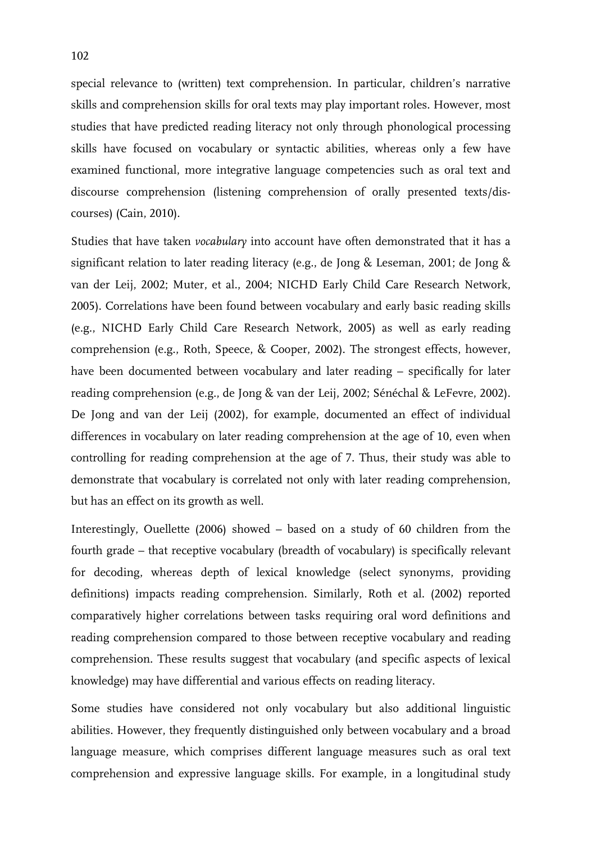special relevance to (written) text comprehension. In particular, children's narrative skills and comprehension skills for oral texts may play important roles. However, most studies that have predicted reading literacy not only through phonological processing skills have focused on vocabulary or syntactic abilities, whereas only a few have examined functional, more integrative language competencies such as oral text and discourse comprehension (listening comprehension of orally presented texts/discourses) (Cain, 2010).

Studies that have taken *vocabulary* into account have often demonstrated that it has a significant relation to later reading literacy (e.g., de Jong & Leseman, 2001; de Jong & van der Leij, 2002; Muter, et al., 2004; NICHD Early Child Care Research Network, 2005). Correlations have been found between vocabulary and early basic reading skills (e.g., NICHD Early Child Care Research Network, 2005) as well as early reading comprehension (e.g., Roth, Speece, & Cooper, 2002). The strongest effects, however, have been documented between vocabulary and later reading – specifically for later reading comprehension (e.g., de Jong & van der Leij, 2002; Sénéchal & LeFevre, 2002). De Jong and van der Leij (2002), for example, documented an effect of individual differences in vocabulary on later reading comprehension at the age of 10, even when controlling for reading comprehension at the age of 7. Thus, their study was able to demonstrate that vocabulary is correlated not only with later reading comprehension, but has an effect on its growth as well.

Interestingly, Ouellette (2006) showed – based on a study of 60 children from the fourth grade – that receptive vocabulary (breadth of vocabulary) is specifically relevant for decoding, whereas depth of lexical knowledge (select synonyms, providing definitions) impacts reading comprehension. Similarly, Roth et al. (2002) reported comparatively higher correlations between tasks requiring oral word definitions and reading comprehension compared to those between receptive vocabulary and reading comprehension. These results suggest that vocabulary (and specific aspects of lexical knowledge) may have differential and various effects on reading literacy.

Some studies have considered not only vocabulary but also additional linguistic abilities. However, they frequently distinguished only between vocabulary and a broad language measure, which comprises different language measures such as oral text comprehension and expressive language skills. For example, in a longitudinal study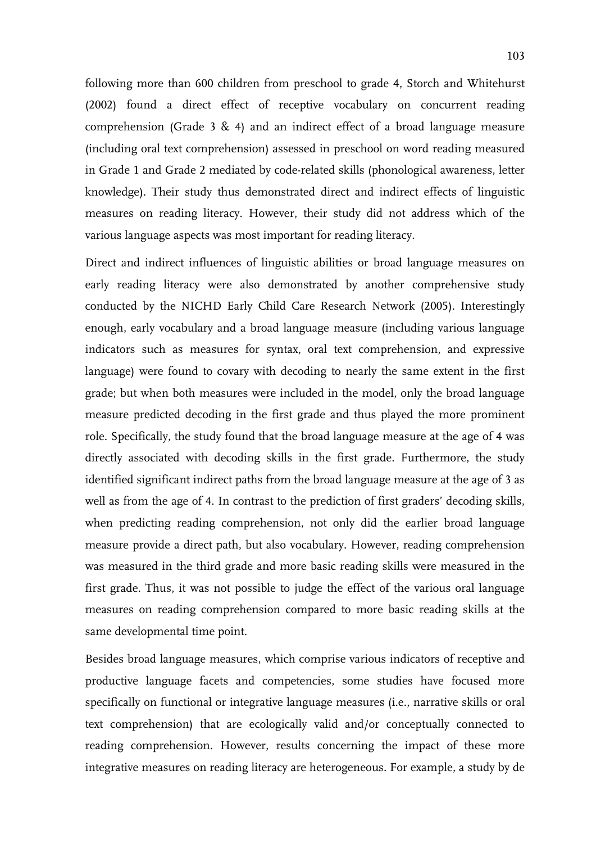following more than 600 children from preschool to grade 4, Storch and Whitehurst (2002) found a direct effect of receptive vocabulary on concurrent reading comprehension (Grade 3 & 4) and an indirect effect of a broad language measure (including oral text comprehension) assessed in preschool on word reading measured in Grade 1 and Grade 2 mediated by code-related skills (phonological awareness, letter knowledge). Their study thus demonstrated direct and indirect effects of linguistic measures on reading literacy. However, their study did not address which of the various language aspects was most important for reading literacy.

Direct and indirect influences of linguistic abilities or broad language measures on early reading literacy were also demonstrated by another comprehensive study conducted by the NICHD Early Child Care Research Network (2005). Interestingly enough, early vocabulary and a broad language measure (including various language indicators such as measures for syntax, oral text comprehension, and expressive language) were found to covary with decoding to nearly the same extent in the first grade; but when both measures were included in the model, only the broad language measure predicted decoding in the first grade and thus played the more prominent role. Specifically, the study found that the broad language measure at the age of 4 was directly associated with decoding skills in the first grade. Furthermore, the study identified significant indirect paths from the broad language measure at the age of 3 as well as from the age of 4. In contrast to the prediction of first graders' decoding skills, when predicting reading comprehension, not only did the earlier broad language measure provide a direct path, but also vocabulary. However, reading comprehension was measured in the third grade and more basic reading skills were measured in the first grade. Thus, it was not possible to judge the effect of the various oral language measures on reading comprehension compared to more basic reading skills at the same developmental time point.

Besides broad language measures, which comprise various indicators of receptive and productive language facets and competencies, some studies have focused more specifically on functional or integrative language measures (i.e., narrative skills or oral text comprehension) that are ecologically valid and/or conceptually connected to reading comprehension. However, results concerning the impact of these more integrative measures on reading literacy are heterogeneous. For example, a study by de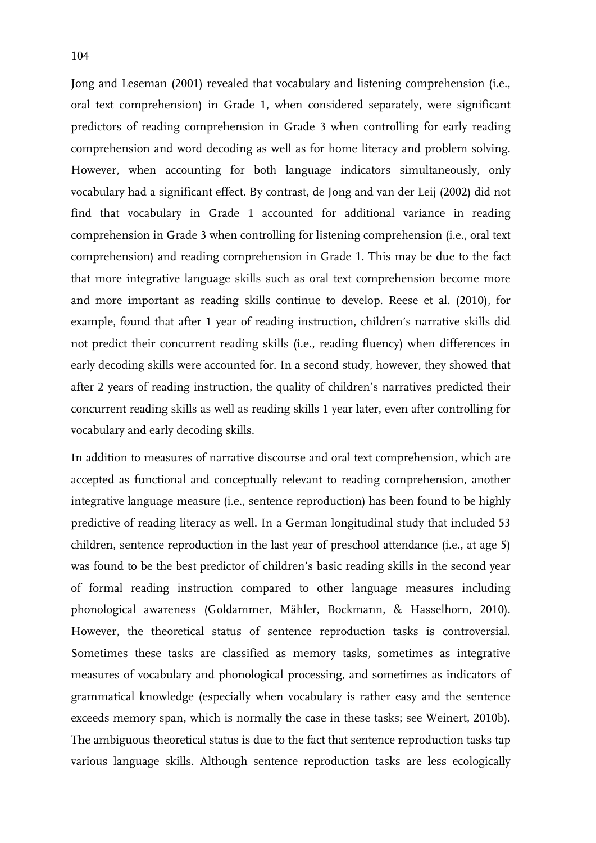Jong and Leseman (2001) revealed that vocabulary and listening comprehension (i.e., oral text comprehension) in Grade 1, when considered separately, were significant predictors of reading comprehension in Grade 3 when controlling for early reading comprehension and word decoding as well as for home literacy and problem solving. However, when accounting for both language indicators simultaneously, only vocabulary had a significant effect. By contrast, de Jong and van der Leij (2002) did not find that vocabulary in Grade 1 accounted for additional variance in reading comprehension in Grade 3 when controlling for listening comprehension (i.e., oral text comprehension) and reading comprehension in Grade 1. This may be due to the fact that more integrative language skills such as oral text comprehension become more and more important as reading skills continue to develop. Reese et al. (2010), for example, found that after 1 year of reading instruction, children's narrative skills did not predict their concurrent reading skills (i.e., reading fluency) when differences in early decoding skills were accounted for. In a second study, however, they showed that after 2 years of reading instruction, the quality of children's narratives predicted their concurrent reading skills as well as reading skills 1 year later, even after controlling for vocabulary and early decoding skills.

In addition to measures of narrative discourse and oral text comprehension, which are accepted as functional and conceptually relevant to reading comprehension, another integrative language measure (i.e., sentence reproduction) has been found to be highly predictive of reading literacy as well. In a German longitudinal study that included 53 children, sentence reproduction in the last year of preschool attendance (i.e., at age 5) was found to be the best predictor of children's basic reading skills in the second year of formal reading instruction compared to other language measures including phonological awareness (Goldammer, Mähler, Bockmann, & Hasselhorn, 2010). However, the theoretical status of sentence reproduction tasks is controversial. Sometimes these tasks are classified as memory tasks, sometimes as integrative measures of vocabulary and phonological processing, and sometimes as indicators of grammatical knowledge (especially when vocabulary is rather easy and the sentence exceeds memory span, which is normally the case in these tasks; see Weinert, 2010b). The ambiguous theoretical status is due to the fact that sentence reproduction tasks tap various language skills. Although sentence reproduction tasks are less ecologically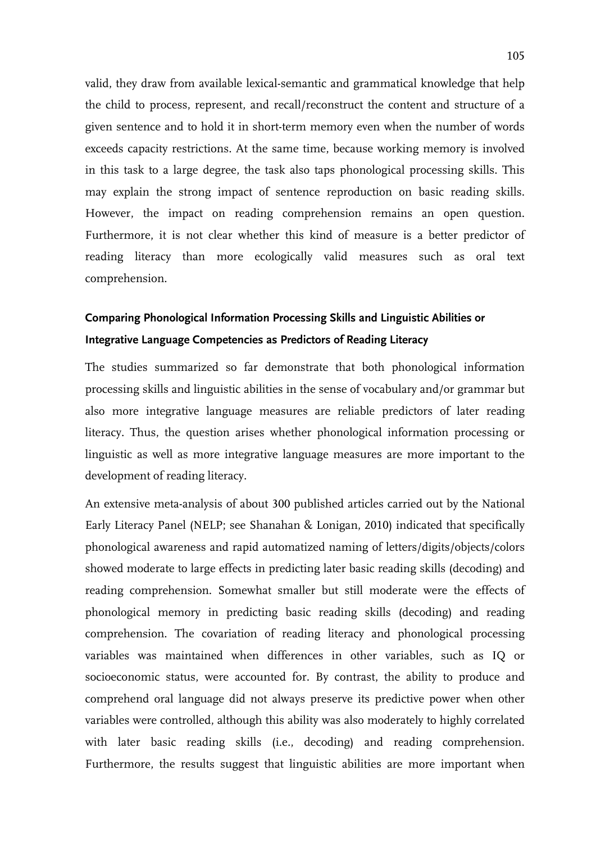valid, they draw from available lexical-semantic and grammatical knowledge that help the child to process, represent, and recall/reconstruct the content and structure of a given sentence and to hold it in short-term memory even when the number of words exceeds capacity restrictions. At the same time, because working memory is involved in this task to a large degree, the task also taps phonological processing skills. This may explain the strong impact of sentence reproduction on basic reading skills. However, the impact on reading comprehension remains an open question. Furthermore, it is not clear whether this kind of measure is a better predictor of reading literacy than more ecologically valid measures such as oral text comprehension.

# **Comparing Phonological Information Processing Skills and Linguistic Abilities or Integrative Language Competencies as Predictors of Reading Literacy**

The studies summarized so far demonstrate that both phonological information processing skills and linguistic abilities in the sense of vocabulary and/or grammar but also more integrative language measures are reliable predictors of later reading literacy. Thus, the question arises whether phonological information processing or linguistic as well as more integrative language measures are more important to the development of reading literacy.

An extensive meta-analysis of about 300 published articles carried out by the National Early Literacy Panel (NELP; see Shanahan & Lonigan, 2010) indicated that specifically phonological awareness and rapid automatized naming of letters/digits/objects/colors showed moderate to large effects in predicting later basic reading skills (decoding) and reading comprehension. Somewhat smaller but still moderate were the effects of phonological memory in predicting basic reading skills (decoding) and reading comprehension. The covariation of reading literacy and phonological processing variables was maintained when differences in other variables, such as IQ or socioeconomic status, were accounted for. By contrast, the ability to produce and comprehend oral language did not always preserve its predictive power when other variables were controlled, although this ability was also moderately to highly correlated with later basic reading skills (i.e., decoding) and reading comprehension. Furthermore, the results suggest that linguistic abilities are more important when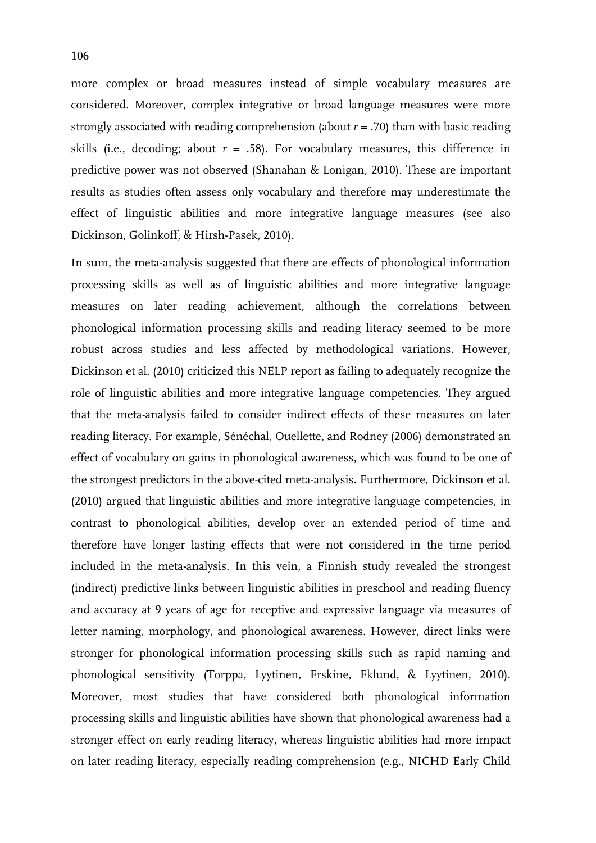more complex or broad measures instead of simple vocabulary measures are considered. Moreover, complex integrative or broad language measures were more strongly associated with reading comprehension (about  $r = .70$ ) than with basic reading skills (i.e., decoding; about  $r = .58$ ). For vocabulary measures, this difference in predictive power was not observed (Shanahan & Lonigan, 2010). These are important results as studies often assess only vocabulary and therefore may underestimate the effect of linguistic abilities and more integrative language measures (see also Dickinson, Golinkoff, & Hirsh-Pasek, 2010).

In sum, the meta-analysis suggested that there are effects of phonological information processing skills as well as of linguistic abilities and more integrative language measures on later reading achievement, although the correlations between phonological information processing skills and reading literacy seemed to be more robust across studies and less affected by methodological variations. However, Dickinson et al. (2010) criticized this NELP report as failing to adequately recognize the role of linguistic abilities and more integrative language competencies. They argued that the meta-analysis failed to consider indirect effects of these measures on later reading literacy. For example, Sénéchal, Ouellette, and Rodney (2006) demonstrated an effect of vocabulary on gains in phonological awareness, which was found to be one of the strongest predictors in the above-cited meta-analysis. Furthermore, Dickinson et al. (2010) argued that linguistic abilities and more integrative language competencies, in contrast to phonological abilities, develop over an extended period of time and therefore have longer lasting effects that were not considered in the time period included in the meta-analysis. In this vein, a Finnish study revealed the strongest (indirect) predictive links between linguistic abilities in preschool and reading fluency and accuracy at 9 years of age for receptive and expressive language via measures of letter naming, morphology, and phonological awareness. However, direct links were stronger for phonological information processing skills such as rapid naming and phonological sensitivity (Torppa, Lyytinen, Erskine, Eklund, & Lyytinen, 2010). Moreover, most studies that have considered both phonological information processing skills and linguistic abilities have shown that phonological awareness had a stronger effect on early reading literacy, whereas linguistic abilities had more impact on later reading literacy, especially reading comprehension (e.g., NICHD Early Child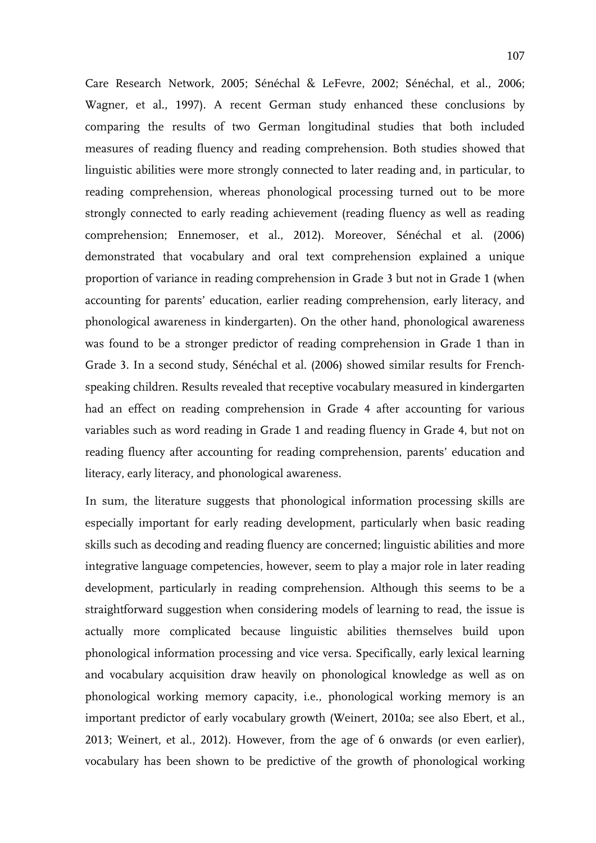Care Research Network, 2005; Sénéchal & LeFevre, 2002; Sénéchal, et al., 2006; Wagner, et al., 1997). A recent German study enhanced these conclusions by comparing the results of two German longitudinal studies that both included measures of reading fluency and reading comprehension. Both studies showed that linguistic abilities were more strongly connected to later reading and, in particular, to reading comprehension, whereas phonological processing turned out to be more strongly connected to early reading achievement (reading fluency as well as reading comprehension; Ennemoser, et al., 2012). Moreover, Sénéchal et al. (2006) demonstrated that vocabulary and oral text comprehension explained a unique proportion of variance in reading comprehension in Grade 3 but not in Grade 1 (when accounting for parents' education, earlier reading comprehension, early literacy, and phonological awareness in kindergarten). On the other hand, phonological awareness was found to be a stronger predictor of reading comprehension in Grade 1 than in Grade 3. In a second study, Sénéchal et al. (2006) showed similar results for Frenchspeaking children. Results revealed that receptive vocabulary measured in kindergarten had an effect on reading comprehension in Grade 4 after accounting for various variables such as word reading in Grade 1 and reading fluency in Grade 4, but not on reading fluency after accounting for reading comprehension, parents' education and literacy, early literacy, and phonological awareness.

In sum, the literature suggests that phonological information processing skills are especially important for early reading development, particularly when basic reading skills such as decoding and reading fluency are concerned; linguistic abilities and more integrative language competencies, however, seem to play a major role in later reading development, particularly in reading comprehension. Although this seems to be a straightforward suggestion when considering models of learning to read, the issue is actually more complicated because linguistic abilities themselves build upon phonological information processing and vice versa. Specifically, early lexical learning and vocabulary acquisition draw heavily on phonological knowledge as well as on phonological working memory capacity, i.e., phonological working memory is an important predictor of early vocabulary growth (Weinert, 2010a; see also Ebert, et al., 2013; Weinert, et al., 2012). However, from the age of 6 onwards (or even earlier), vocabulary has been shown to be predictive of the growth of phonological working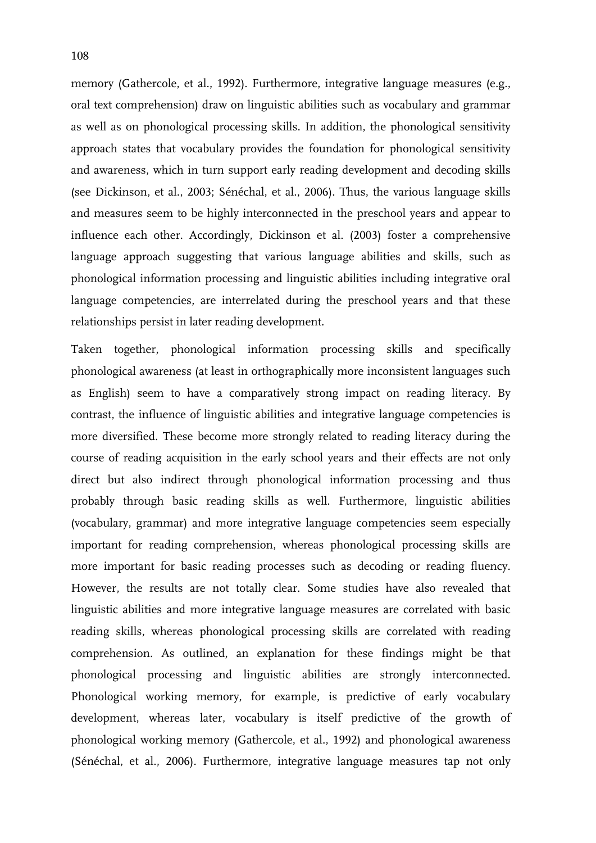memory (Gathercole, et al., 1992). Furthermore, integrative language measures (e.g., oral text comprehension) draw on linguistic abilities such as vocabulary and grammar as well as on phonological processing skills. In addition, the phonological sensitivity approach states that vocabulary provides the foundation for phonological sensitivity and awareness, which in turn support early reading development and decoding skills (see Dickinson, et al., 2003; Sénéchal, et al., 2006). Thus, the various language skills and measures seem to be highly interconnected in the preschool years and appear to influence each other. Accordingly, Dickinson et al. (2003) foster a comprehensive language approach suggesting that various language abilities and skills, such as phonological information processing and linguistic abilities including integrative oral language competencies, are interrelated during the preschool years and that these relationships persist in later reading development.

Taken together, phonological information processing skills and specifically phonological awareness (at least in orthographically more inconsistent languages such as English) seem to have a comparatively strong impact on reading literacy. By contrast, the influence of linguistic abilities and integrative language competencies is more diversified. These become more strongly related to reading literacy during the course of reading acquisition in the early school years and their effects are not only direct but also indirect through phonological information processing and thus probably through basic reading skills as well. Furthermore, linguistic abilities (vocabulary, grammar) and more integrative language competencies seem especially important for reading comprehension, whereas phonological processing skills are more important for basic reading processes such as decoding or reading fluency. However, the results are not totally clear. Some studies have also revealed that linguistic abilities and more integrative language measures are correlated with basic reading skills, whereas phonological processing skills are correlated with reading comprehension. As outlined, an explanation for these findings might be that phonological processing and linguistic abilities are strongly interconnected. Phonological working memory, for example, is predictive of early vocabulary development, whereas later, vocabulary is itself predictive of the growth of phonological working memory (Gathercole, et al., 1992) and phonological awareness (Sénéchal, et al., 2006). Furthermore, integrative language measures tap not only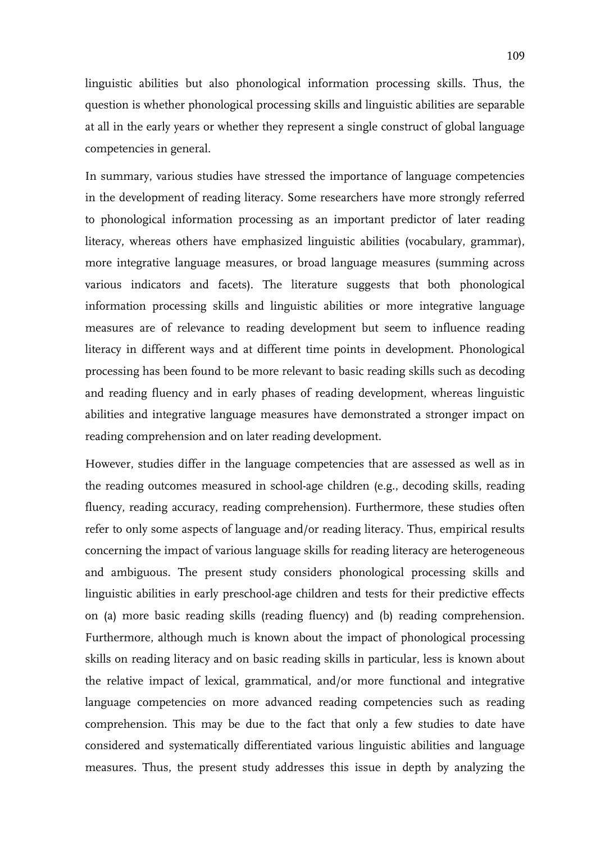linguistic abilities but also phonological information processing skills. Thus, the question is whether phonological processing skills and linguistic abilities are separable at all in the early years or whether they represent a single construct of global language competencies in general.

In summary, various studies have stressed the importance of language competencies in the development of reading literacy. Some researchers have more strongly referred to phonological information processing as an important predictor of later reading literacy, whereas others have emphasized linguistic abilities (vocabulary, grammar), more integrative language measures, or broad language measures (summing across various indicators and facets). The literature suggests that both phonological information processing skills and linguistic abilities or more integrative language measures are of relevance to reading development but seem to influence reading literacy in different ways and at different time points in development. Phonological processing has been found to be more relevant to basic reading skills such as decoding and reading fluency and in early phases of reading development, whereas linguistic abilities and integrative language measures have demonstrated a stronger impact on reading comprehension and on later reading development.

However, studies differ in the language competencies that are assessed as well as in the reading outcomes measured in school-age children (e.g., decoding skills, reading fluency, reading accuracy, reading comprehension). Furthermore, these studies often refer to only some aspects of language and/or reading literacy. Thus, empirical results concerning the impact of various language skills for reading literacy are heterogeneous and ambiguous. The present study considers phonological processing skills and linguistic abilities in early preschool-age children and tests for their predictive effects on (a) more basic reading skills (reading fluency) and (b) reading comprehension. Furthermore, although much is known about the impact of phonological processing skills on reading literacy and on basic reading skills in particular, less is known about the relative impact of lexical, grammatical, and/or more functional and integrative language competencies on more advanced reading competencies such as reading comprehension. This may be due to the fact that only a few studies to date have considered and systematically differentiated various linguistic abilities and language measures. Thus, the present study addresses this issue in depth by analyzing the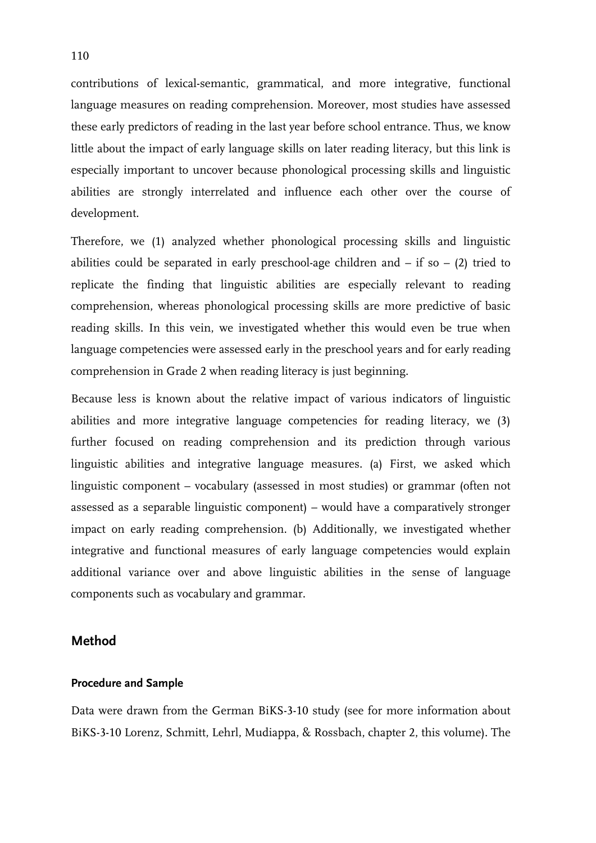contributions of lexical-semantic, grammatical, and more integrative, functional language measures on reading comprehension. Moreover, most studies have assessed these early predictors of reading in the last year before school entrance. Thus, we know little about the impact of early language skills on later reading literacy, but this link is especially important to uncover because phonological processing skills and linguistic abilities are strongly interrelated and influence each other over the course of development.

Therefore, we (1) analyzed whether phonological processing skills and linguistic abilities could be separated in early preschool-age children and  $-$  if so  $-$  (2) tried to replicate the finding that linguistic abilities are especially relevant to reading comprehension, whereas phonological processing skills are more predictive of basic reading skills. In this vein, we investigated whether this would even be true when language competencies were assessed early in the preschool years and for early reading comprehension in Grade 2 when reading literacy is just beginning.

Because less is known about the relative impact of various indicators of linguistic abilities and more integrative language competencies for reading literacy, we (3) further focused on reading comprehension and its prediction through various linguistic abilities and integrative language measures. (a) First, we asked which linguistic component – vocabulary (assessed in most studies) or grammar (often not assessed as a separable linguistic component) – would have a comparatively stronger impact on early reading comprehension. (b) Additionally, we investigated whether integrative and functional measures of early language competencies would explain additional variance over and above linguistic abilities in the sense of language components such as vocabulary and grammar.

# **Method**

#### **Procedure and Sample**

Data were drawn from the German BiKS-3-10 study (see for more information about BiKS-3-10 Lorenz, Schmitt, Lehrl, Mudiappa, & Rossbach, chapter 2, this volume). The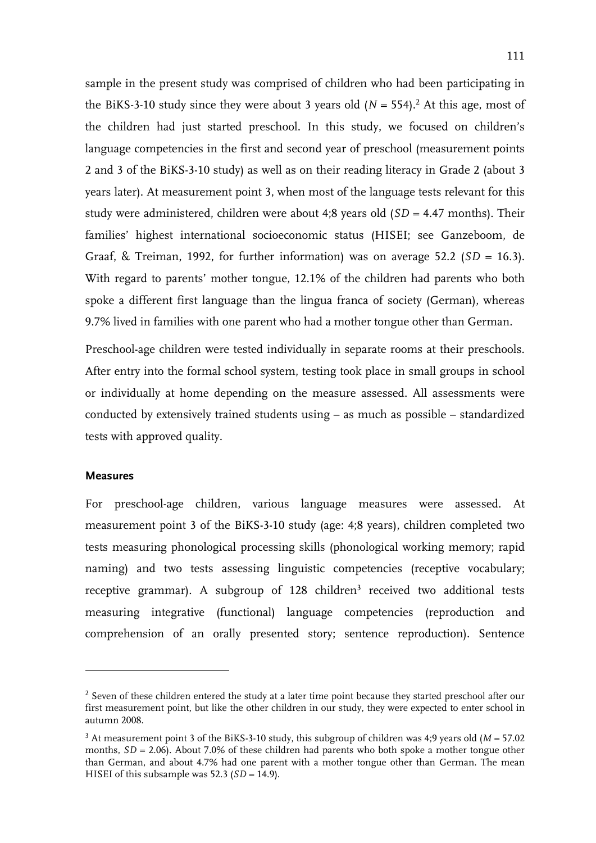sample in the present study was comprised of children who had been participating in the BiKS-3-10 study since they were about 3 years old  $(N = 554).<sup>2</sup>$  At this age, most of the children had just started preschool. In this study, we focused on children's language competencies in the first and second year of preschool (measurement points 2 and 3 of the BiKS-3-10 study) as well as on their reading literacy in Grade 2 (about 3 years later). At measurement point 3, when most of the language tests relevant for this study were administered, children were about 4;8 years old (*SD* = 4.47 months). Their families' highest international socioeconomic status (HISEI; see Ganzeboom, de Graaf, & Treiman, 1992, for further information) was on average 52.2 ( $SD = 16.3$ ). With regard to parents' mother tongue, 12.1% of the children had parents who both spoke a different first language than the lingua franca of society (German), whereas 9.7% lived in families with one parent who had a mother tongue other than German.

Preschool-age children were tested individually in separate rooms at their preschools. After entry into the formal school system, testing took place in small groups in school or individually at home depending on the measure assessed. All assessments were conducted by extensively trained students using – as much as possible – standardized tests with approved quality.

#### **Measures**

-

For preschool-age children, various language measures were assessed. At measurement point 3 of the BiKS-3-10 study (age: 4;8 years), children completed two tests measuring phonological processing skills (phonological working memory; rapid naming) and two tests assessing linguistic competencies (receptive vocabulary; receptive grammar). A subgroup of 128 children<sup>3</sup> received two additional tests measuring integrative (functional) language competencies (reproduction and comprehension of an orally presented story; sentence reproduction). Sentence

 $2$  Seven of these children entered the study at a later time point because they started preschool after our first measurement point, but like the other children in our study, they were expected to enter school in autumn 2008.

<sup>3</sup> At measurement point 3 of the BiKS-3-10 study, this subgroup of children was 4;9 years old (*M* = 57.02 months, *SD* = 2.06). About 7.0% of these children had parents who both spoke a mother tongue other than German, and about 4.7% had one parent with a mother tongue other than German. The mean HISEI of this subsample was  $52.3$  ( $SD = 14.9$ ).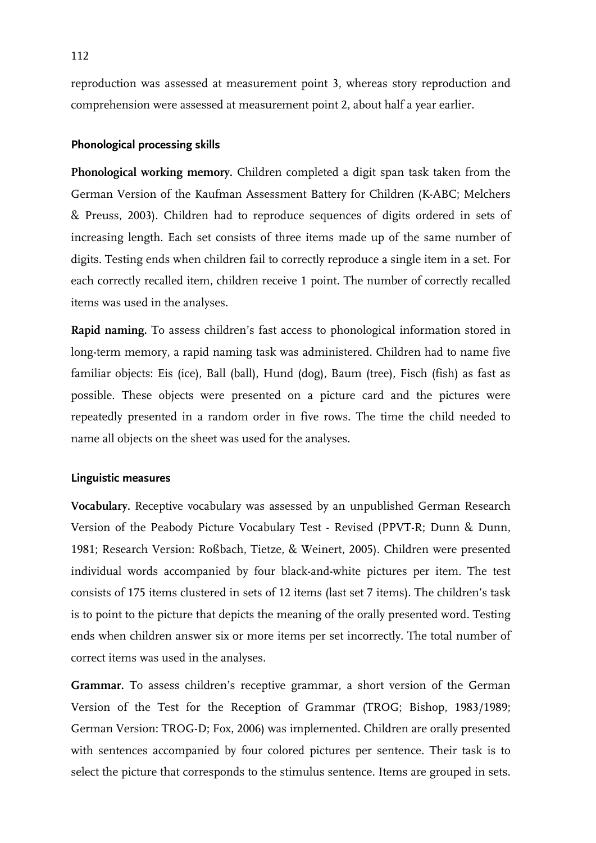reproduction was assessed at measurement point 3, whereas story reproduction and comprehension were assessed at measurement point 2, about half a year earlier.

# **Phonological processing skills**

**Phonological working memory.** Children completed a digit span task taken from the German Version of the Kaufman Assessment Battery for Children (K-ABC; Melchers & Preuss, 2003). Children had to reproduce sequences of digits ordered in sets of increasing length. Each set consists of three items made up of the same number of digits. Testing ends when children fail to correctly reproduce a single item in a set. For each correctly recalled item, children receive 1 point. The number of correctly recalled items was used in the analyses.

**Rapid naming.** To assess children's fast access to phonological information stored in long-term memory, a rapid naming task was administered. Children had to name five familiar objects: Eis (ice), Ball (ball), Hund (dog), Baum (tree), Fisch (fish) as fast as possible. These objects were presented on a picture card and the pictures were repeatedly presented in a random order in five rows. The time the child needed to name all objects on the sheet was used for the analyses.

# **Linguistic measures**

**Vocabulary.** Receptive vocabulary was assessed by an unpublished German Research Version of the Peabody Picture Vocabulary Test - Revised (PPVT-R; Dunn & Dunn, 1981; Research Version: Roßbach, Tietze, & Weinert, 2005). Children were presented individual words accompanied by four black-and-white pictures per item. The test consists of 175 items clustered in sets of 12 items (last set 7 items). The children's task is to point to the picture that depicts the meaning of the orally presented word. Testing ends when children answer six or more items per set incorrectly. The total number of correct items was used in the analyses.

**Grammar.** To assess children's receptive grammar, a short version of the German Version of the Test for the Reception of Grammar (TROG; Bishop, 1983/1989; German Version: TROG-D; Fox, 2006) was implemented. Children are orally presented with sentences accompanied by four colored pictures per sentence. Their task is to select the picture that corresponds to the stimulus sentence. Items are grouped in sets.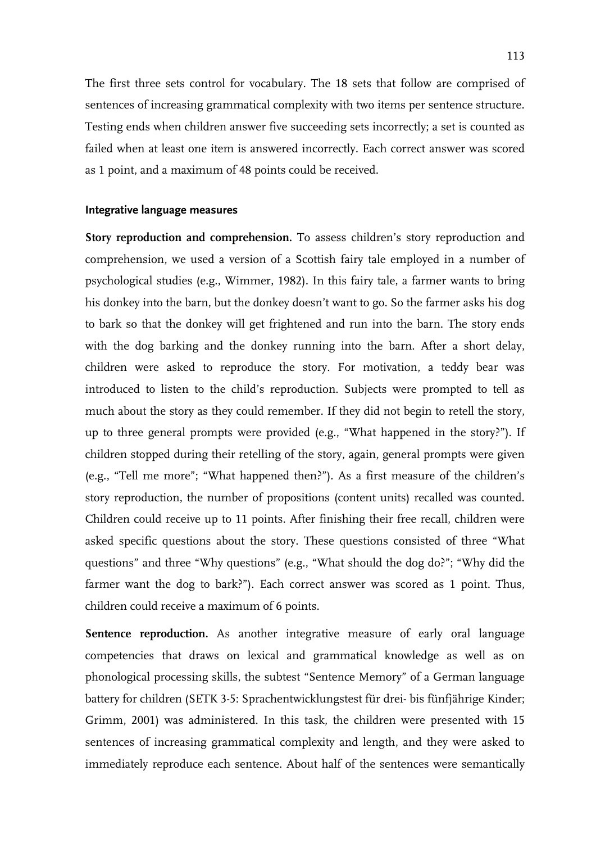The first three sets control for vocabulary. The 18 sets that follow are comprised of sentences of increasing grammatical complexity with two items per sentence structure. Testing ends when children answer five succeeding sets incorrectly; a set is counted as failed when at least one item is answered incorrectly. Each correct answer was scored as 1 point, and a maximum of 48 points could be received.

#### **Integrative language measures**

**Story reproduction and comprehension.** To assess children's story reproduction and comprehension, we used a version of a Scottish fairy tale employed in a number of psychological studies (e.g., Wimmer, 1982). In this fairy tale, a farmer wants to bring his donkey into the barn, but the donkey doesn't want to go. So the farmer asks his dog to bark so that the donkey will get frightened and run into the barn. The story ends with the dog barking and the donkey running into the barn. After a short delay, children were asked to reproduce the story. For motivation, a teddy bear was introduced to listen to the child's reproduction. Subjects were prompted to tell as much about the story as they could remember. If they did not begin to retell the story, up to three general prompts were provided (e.g., "What happened in the story?"). If children stopped during their retelling of the story, again, general prompts were given (e.g., "Tell me more"; "What happened then?"). As a first measure of the children's story reproduction, the number of propositions (content units) recalled was counted. Children could receive up to 11 points. After finishing their free recall, children were asked specific questions about the story. These questions consisted of three "What questions" and three "Why questions" (e.g., "What should the dog do?"; "Why did the farmer want the dog to bark?"). Each correct answer was scored as 1 point. Thus, children could receive a maximum of 6 points.

Sentence reproduction. As another integrative measure of early oral language competencies that draws on lexical and grammatical knowledge as well as on phonological processing skills, the subtest "Sentence Memory" of a German language battery for children (SETK 3-5: Sprachentwicklungstest für drei- bis fünfjährige Kinder; Grimm, 2001) was administered. In this task, the children were presented with 15 sentences of increasing grammatical complexity and length, and they were asked to immediately reproduce each sentence. About half of the sentences were semantically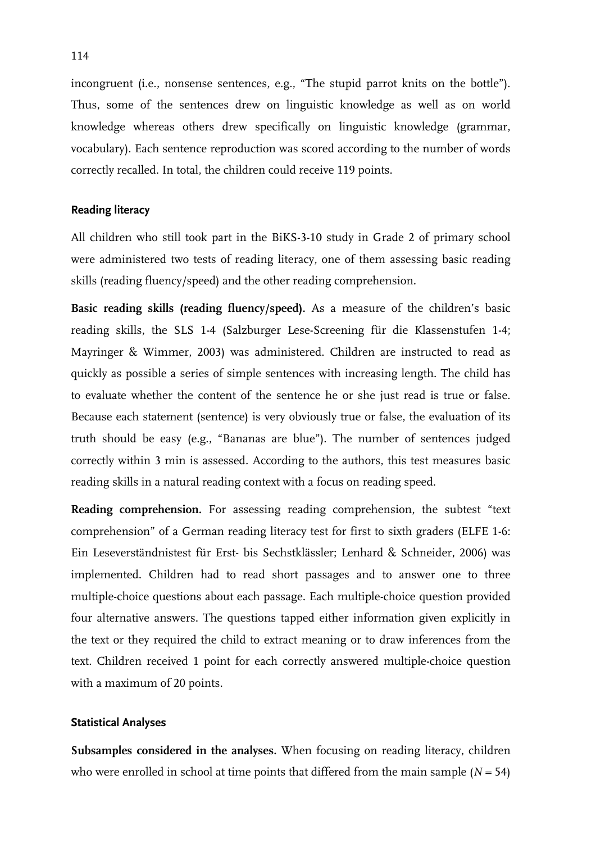incongruent (i.e., nonsense sentences, e.g., "The stupid parrot knits on the bottle"). Thus, some of the sentences drew on linguistic knowledge as well as on world knowledge whereas others drew specifically on linguistic knowledge (grammar, vocabulary). Each sentence reproduction was scored according to the number of words correctly recalled. In total, the children could receive 119 points.

#### **Reading literacy**

All children who still took part in the BiKS-3-10 study in Grade 2 of primary school were administered two tests of reading literacy, one of them assessing basic reading skills (reading fluency/speed) and the other reading comprehension.

**Basic reading skills (reading fluency/speed).** As a measure of the children's basic reading skills, the SLS 1-4 (Salzburger Lese-Screening für die Klassenstufen 1-4; Mayringer & Wimmer, 2003) was administered. Children are instructed to read as quickly as possible a series of simple sentences with increasing length. The child has to evaluate whether the content of the sentence he or she just read is true or false. Because each statement (sentence) is very obviously true or false, the evaluation of its truth should be easy (e.g., "Bananas are blue"). The number of sentences judged correctly within 3 min is assessed. According to the authors, this test measures basic reading skills in a natural reading context with a focus on reading speed.

**Reading comprehension.** For assessing reading comprehension, the subtest "text comprehension" of a German reading literacy test for first to sixth graders (ELFE 1-6: Ein Leseverständnistest für Erst- bis Sechstklässler; Lenhard & Schneider, 2006) was implemented. Children had to read short passages and to answer one to three multiple-choice questions about each passage. Each multiple-choice question provided four alternative answers. The questions tapped either information given explicitly in the text or they required the child to extract meaning or to draw inferences from the text. Children received 1 point for each correctly answered multiple-choice question with a maximum of 20 points.

#### **Statistical Analyses**

**Subsamples considered in the analyses.** When focusing on reading literacy, children who were enrolled in school at time points that differed from the main sample  $(N = 54)$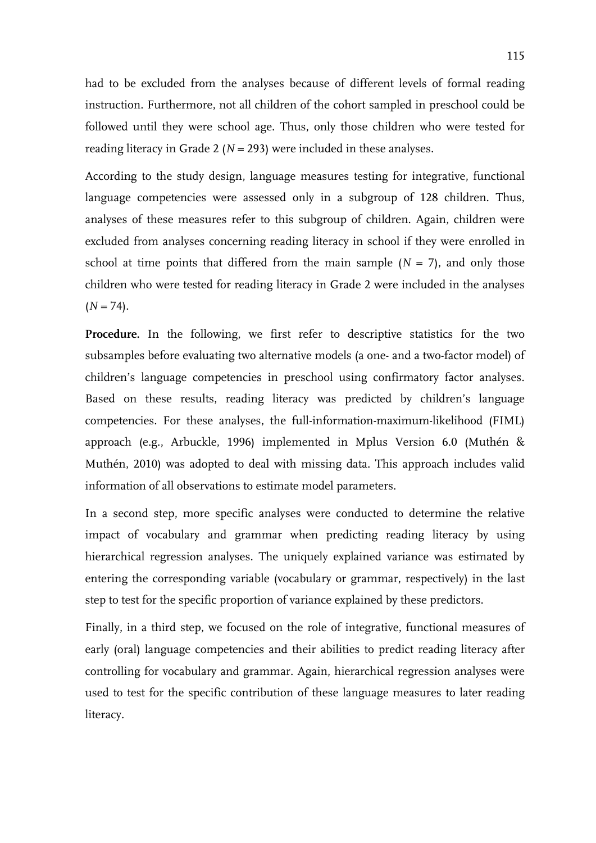had to be excluded from the analyses because of different levels of formal reading instruction. Furthermore, not all children of the cohort sampled in preschool could be followed until they were school age. Thus, only those children who were tested for reading literacy in Grade 2 ( $N = 293$ ) were included in these analyses.

According to the study design, language measures testing for integrative, functional language competencies were assessed only in a subgroup of 128 children. Thus, analyses of these measures refer to this subgroup of children. Again, children were excluded from analyses concerning reading literacy in school if they were enrolled in school at time points that differed from the main sample  $(N = 7)$ , and only those children who were tested for reading literacy in Grade 2 were included in the analyses  $(N = 74)$ .

Procedure. In the following, we first refer to descriptive statistics for the two subsamples before evaluating two alternative models (a one- and a two-factor model) of children's language competencies in preschool using confirmatory factor analyses. Based on these results, reading literacy was predicted by children's language competencies. For these analyses, the full-information-maximum-likelihood (FIML) approach (e.g., Arbuckle, 1996) implemented in Mplus Version 6.0 (Muthén & Muthén, 2010) was adopted to deal with missing data. This approach includes valid information of all observations to estimate model parameters.

In a second step, more specific analyses were conducted to determine the relative impact of vocabulary and grammar when predicting reading literacy by using hierarchical regression analyses. The uniquely explained variance was estimated by entering the corresponding variable (vocabulary or grammar, respectively) in the last step to test for the specific proportion of variance explained by these predictors.

Finally, in a third step, we focused on the role of integrative, functional measures of early (oral) language competencies and their abilities to predict reading literacy after controlling for vocabulary and grammar. Again, hierarchical regression analyses were used to test for the specific contribution of these language measures to later reading literacy.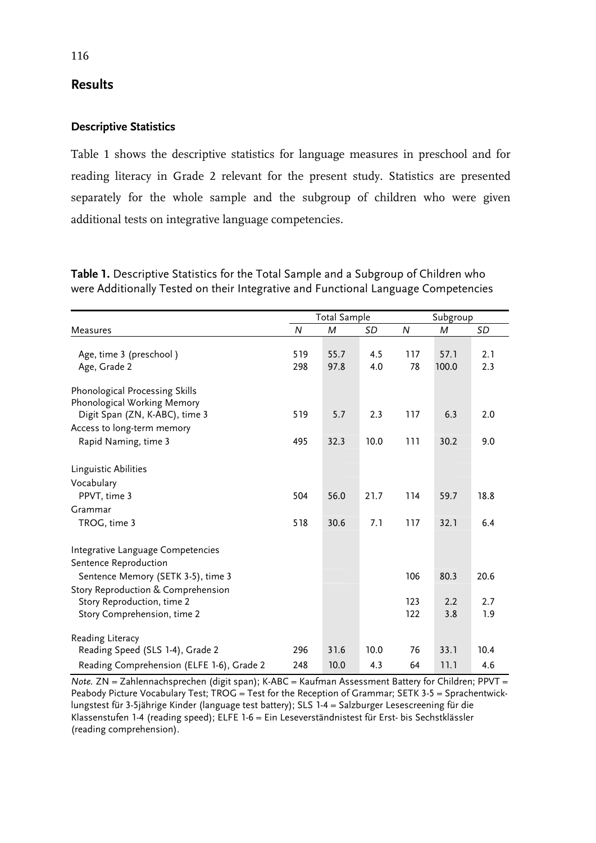# **Results**

# **Descriptive Statistics**

Table 1 shows the descriptive statistics for language measures in preschool and for reading literacy in Grade 2 relevant for the present study. Statistics are presented separately for the whole sample and the subgroup of children who were given additional tests on integrative language competencies.

**Table 1.** Descriptive Statistics for the Total Sample and a Subgroup of Children who were Additionally Tested on their Integrative and Functional Language Competencies

|                                                                                                   | <b>Total Sample</b> |              |             | Subgroup   |               |             |
|---------------------------------------------------------------------------------------------------|---------------------|--------------|-------------|------------|---------------|-------------|
| Measures                                                                                          | N                   | М            | SD          | N          | M             | SD          |
| Age, time 3 (preschool)<br>Age, Grade 2                                                           | 519<br>298          | 55.7<br>97.8 | 4.5<br>4.0  | 117<br>78  | 57.1<br>100.0 | 2.1<br>2.3  |
| Phonological Processing Skills<br>Phonological Working Memory<br>Digit Span (ZN, K-ABC), time 3   | 519                 | 5.7          | 2.3         | 117        | 6.3           | 2.0         |
| Access to long-term memory<br>Rapid Naming, time 3                                                | 495                 | 32.3         | 10.0        | 111        | 30.2          | 9.0         |
| Linguistic Abilities<br>Vocabulary<br>PPVT, time 3                                                | 504                 | 56.0         | 21.7        | 114        | 59.7          | 18.8        |
| Grammar<br>TROG, time 3                                                                           | 518                 | 30.6         | 7.1         | 117        | 32.1          | 6.4         |
| Integrative Language Competencies<br>Sentence Reproduction<br>Sentence Memory (SETK 3-5), time 3  |                     |              |             | 106        | 80.3          | 20.6        |
| Story Reproduction & Comprehension<br>Story Reproduction, time 2<br>Story Comprehension, time 2   |                     |              |             | 123<br>122 | 2.2<br>3.8    | 2.7<br>1.9  |
| Reading Literacy<br>Reading Speed (SLS 1-4), Grade 2<br>Reading Comprehension (ELFE 1-6), Grade 2 | 296<br>248          | 31.6<br>10.0 | 10.0<br>4.3 | 76<br>64   | 33.1<br>11.1  | 10.4<br>4.6 |

*Note.* ZN = Zahlennachsprechen (digit span); K-ABC = Kaufman Assessment Battery for Children; PPVT = Peabody Picture Vocabulary Test;  $TROG = Test$  for the Reception of Grammar; SETK 3-5 = Sprachentwicklungstest für 3-5jährige Kinder (language test battery); SLS 1-4 = Salzburger Lesescreening für die Klassenstufen 1-4 (reading speed); ELFE 1-6 = Ein Leseverständnistest für Erst- bis Sechstklässler (reading comprehension).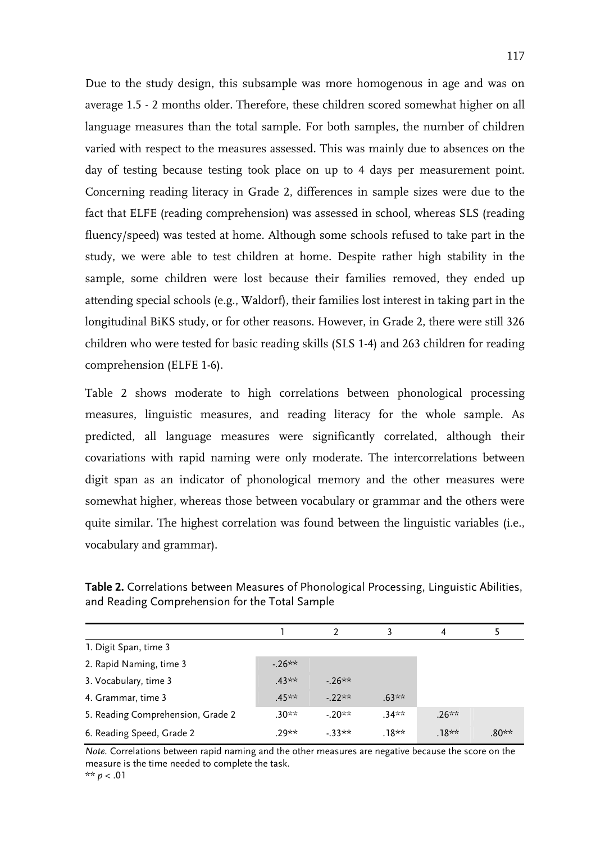Due to the study design, this subsample was more homogenous in age and was on average 1.5 - 2 months older. Therefore, these children scored somewhat higher on all language measures than the total sample. For both samples, the number of children varied with respect to the measures assessed. This was mainly due to absences on the day of testing because testing took place on up to 4 days per measurement point. Concerning reading literacy in Grade 2, differences in sample sizes were due to the fact that ELFE (reading comprehension) was assessed in school, whereas SLS (reading fluency/speed) was tested at home. Although some schools refused to take part in the study, we were able to test children at home. Despite rather high stability in the sample, some children were lost because their families removed, they ended up attending special schools (e.g., Waldorf), their families lost interest in taking part in the longitudinal BiKS study, or for other reasons. However, in Grade 2, there were still 326 children who were tested for basic reading skills (SLS 1-4) and 263 children for reading comprehension (ELFE 1-6).

Table 2 shows moderate to high correlations between phonological processing measures, linguistic measures, and reading literacy for the whole sample. As predicted, all language measures were significantly correlated, although their covariations with rapid naming were only moderate. The intercorrelations between digit span as an indicator of phonological memory and the other measures were somewhat higher, whereas those between vocabulary or grammar and the others were quite similar. The highest correlation was found between the linguistic variables (i.e., vocabulary and grammar).

|                                   |          |         |          | 4        |         |
|-----------------------------------|----------|---------|----------|----------|---------|
| 1. Digit Span, time 3             |          |         |          |          |         |
| 2. Rapid Naming, time 3           | $-26**$  |         |          |          |         |
| 3. Vocabulary, time 3             | $.43***$ | $-26**$ |          |          |         |
| 4. Grammar, time 3                | $45**$   | $-22**$ | $.63***$ |          |         |
| 5. Reading Comprehension, Grade 2 | $.30***$ | $-20**$ | .34**    | $.26***$ |         |
| 6. Reading Speed, Grade 2         | $29**$   | $-33**$ | .18**    | $.18**$  | $.80**$ |

**Table 2.** Correlations between Measures of Phonological Processing, Linguistic Abilities, and Reading Comprehension for the Total Sample

*Note.* Correlations between rapid naming and the other measures are negative because the score on the measure is the time needed to complete the task. \*\* *p* < .01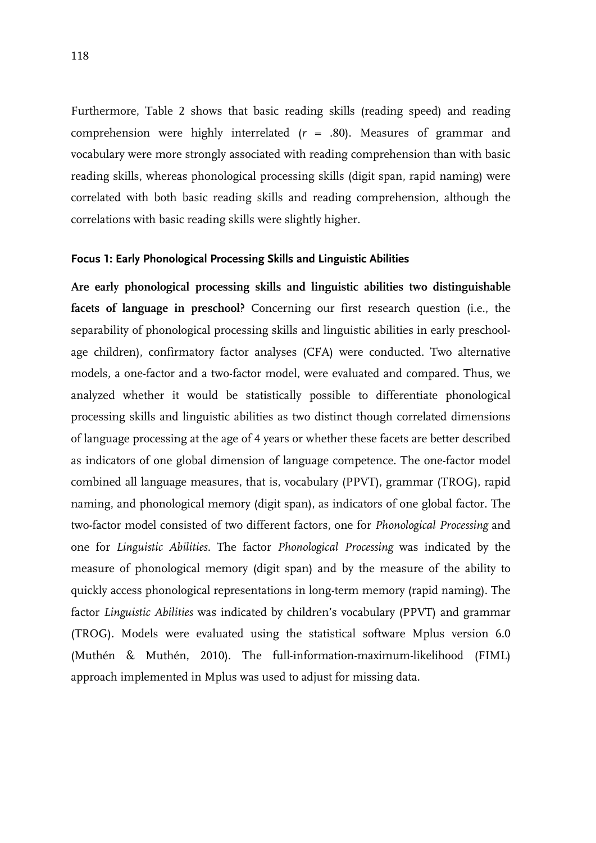Furthermore, Table 2 shows that basic reading skills (reading speed) and reading comprehension were highly interrelated (*r* = .80). Measures of grammar and vocabulary were more strongly associated with reading comprehension than with basic reading skills, whereas phonological processing skills (digit span, rapid naming) were correlated with both basic reading skills and reading comprehension, although the correlations with basic reading skills were slightly higher.

## **Focus 1: Early Phonological Processing Skills and Linguistic Abilities**

**Are early phonological processing skills and linguistic abilities two distinguishable facets of language in preschool?** Concerning our first research question (i.e., the separability of phonological processing skills and linguistic abilities in early preschoolage children), confirmatory factor analyses (CFA) were conducted. Two alternative models, a one-factor and a two-factor model, were evaluated and compared. Thus, we analyzed whether it would be statistically possible to differentiate phonological processing skills and linguistic abilities as two distinct though correlated dimensions of language processing at the age of 4 years or whether these facets are better described as indicators of one global dimension of language competence. The one-factor model combined all language measures, that is, vocabulary (PPVT), grammar (TROG), rapid naming, and phonological memory (digit span), as indicators of one global factor. The two-factor model consisted of two different factors, one for *Phonological Processing* and one for *Linguistic Abilities*. The factor *Phonological Processing* was indicated by the measure of phonological memory (digit span) and by the measure of the ability to quickly access phonological representations in long-term memory (rapid naming). The factor *Linguistic Abilities* was indicated by children's vocabulary (PPVT) and grammar (TROG). Models were evaluated using the statistical software Mplus version 6.0 (Muthén & Muthén, 2010). The full-information-maximum-likelihood (FIML) approach implemented in Mplus was used to adjust for missing data.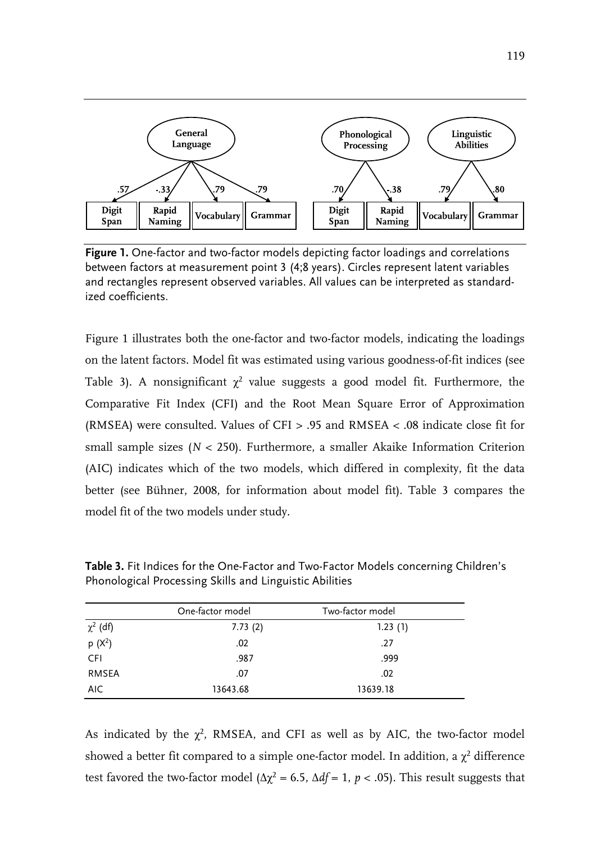

**Figure 1.** One-factor and two-factor models depicting factor loadings and correlations between factors at measurement point 3 (4;8 years). Circles represent latent variables and rectangles represent observed variables. All values can be interpreted as standardized coefficients.

Figure 1 illustrates both the one-factor and two-factor models, indicating the loadings on the latent factors. Model fit was estimated using various goodness-of-fit indices (see Table 3). A nonsignificant  $\chi^2$  value suggests a good model fit. Furthermore, the Comparative Fit Index (CFI) and the Root Mean Square Error of Approximation (RMSEA) were consulted. Values of CFI > .95 and RMSEA < .08 indicate close fit for small sample sizes (*N* < 250). Furthermore, a smaller Akaike Information Criterion (AIC) indicates which of the two models, which differed in complexity, fit the data better (see Bühner, 2008, for information about model fit). Table 3 compares the model fit of the two models under study.

|               | One-factor model | Two-factor model |
|---------------|------------------|------------------|
| $\chi^2$ (df) | 7.73(2)          | 1.23(1)          |
| $p(X^2)$      | .02              | .27              |
| <b>CFI</b>    | .987             | .999             |
| <b>RMSEA</b>  | .07              | .02              |
| AIC.          | 13643.68         | 13639.18         |

**Table 3.** Fit Indices for the One-Factor and Two-Factor Models concerning Children's Phonological Processing Skills and Linguistic Abilities

As indicated by the  $\chi^2$ , RMSEA, and CFI as well as by AIC, the two-factor model showed a better fit compared to a simple one-factor model. In addition, a  $\chi^2$  difference test favored the two-factor model ( $\Delta \chi^2$  = 6.5,  $\Delta df$  = 1, *p* < .05). This result suggests that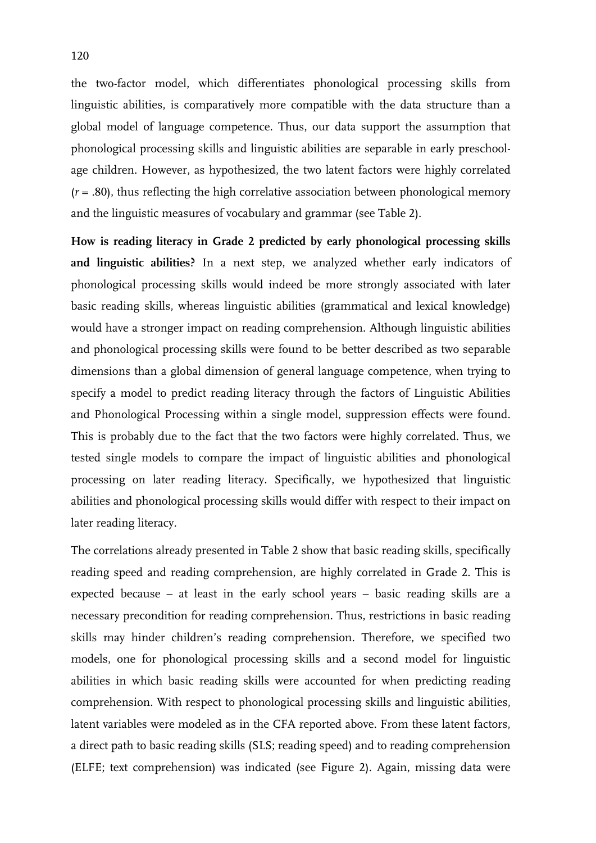the two-factor model, which differentiates phonological processing skills from linguistic abilities, is comparatively more compatible with the data structure than a global model of language competence. Thus, our data support the assumption that phonological processing skills and linguistic abilities are separable in early preschoolage children. However, as hypothesized, the two latent factors were highly correlated (*r* = .80), thus reflecting the high correlative association between phonological memory and the linguistic measures of vocabulary and grammar (see Table 2).

**How is reading literacy in Grade 2 predicted by early phonological processing skills and linguistic abilities?** In a next step, we analyzed whether early indicators of phonological processing skills would indeed be more strongly associated with later basic reading skills, whereas linguistic abilities (grammatical and lexical knowledge) would have a stronger impact on reading comprehension. Although linguistic abilities and phonological processing skills were found to be better described as two separable dimensions than a global dimension of general language competence, when trying to specify a model to predict reading literacy through the factors of Linguistic Abilities and Phonological Processing within a single model, suppression effects were found. This is probably due to the fact that the two factors were highly correlated. Thus, we tested single models to compare the impact of linguistic abilities and phonological processing on later reading literacy. Specifically, we hypothesized that linguistic abilities and phonological processing skills would differ with respect to their impact on later reading literacy.

The correlations already presented in Table 2 show that basic reading skills, specifically reading speed and reading comprehension, are highly correlated in Grade 2. This is expected because – at least in the early school years – basic reading skills are a necessary precondition for reading comprehension. Thus, restrictions in basic reading skills may hinder children's reading comprehension. Therefore, we specified two models, one for phonological processing skills and a second model for linguistic abilities in which basic reading skills were accounted for when predicting reading comprehension. With respect to phonological processing skills and linguistic abilities, latent variables were modeled as in the CFA reported above. From these latent factors, a direct path to basic reading skills (SLS; reading speed) and to reading comprehension (ELFE; text comprehension) was indicated (see Figure 2). Again, missing data were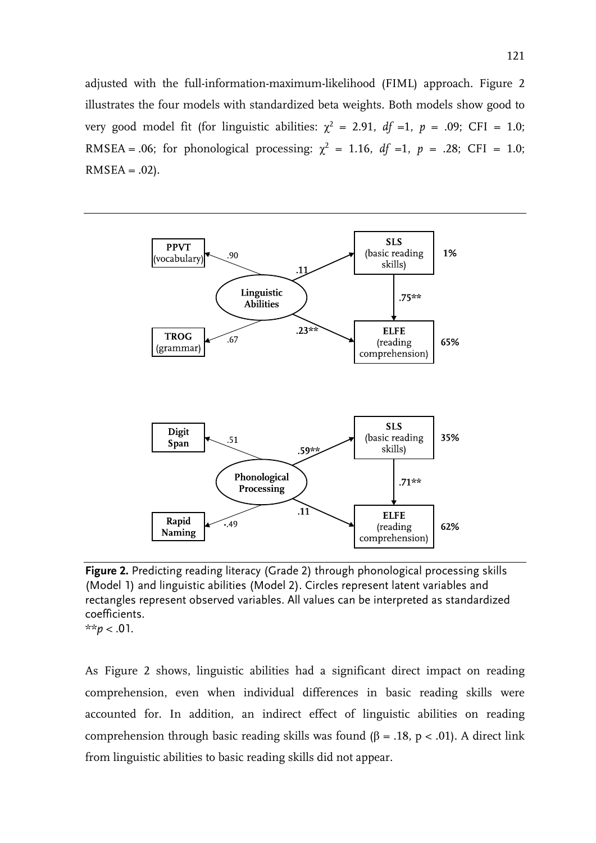adjusted with the full-information-maximum-likelihood (FIML) approach. Figure 2 illustrates the four models with standardized beta weights. Both models show good to very good model fit (for linguistic abilities:  $\chi^2$  = 2.91, *df* =1, *p* = .09; CFI = 1.0; RMSEA = .06; for phonological processing:  $\chi^2 = 1.16$ ,  $df =1$ ,  $p = .28$ ; CFI = 1.0;  $RMSEA = .02$ ).



**Figure 2.** Predicting reading literacy (Grade 2) through phonological processing skills (Model 1) and linguistic abilities (Model 2). Circles represent latent variables and rectangles represent observed variables. All values can be interpreted as standardized coefficients.

\*\**p* < .01.

As Figure 2 shows, linguistic abilities had a significant direct impact on reading comprehension, even when individual differences in basic reading skills were accounted for. In addition, an indirect effect of linguistic abilities on reading comprehension through basic reading skills was found (β = .18, p < .01). A direct link from linguistic abilities to basic reading skills did not appear.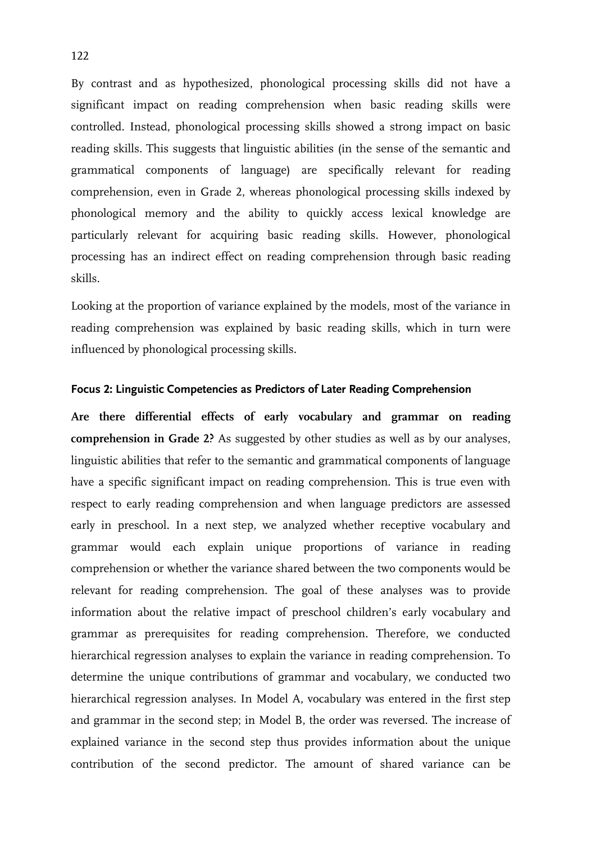By contrast and as hypothesized, phonological processing skills did not have a significant impact on reading comprehension when basic reading skills were controlled. Instead, phonological processing skills showed a strong impact on basic reading skills. This suggests that linguistic abilities (in the sense of the semantic and grammatical components of language) are specifically relevant for reading comprehension, even in Grade 2, whereas phonological processing skills indexed by phonological memory and the ability to quickly access lexical knowledge are particularly relevant for acquiring basic reading skills. However, phonological processing has an indirect effect on reading comprehension through basic reading skills.

Looking at the proportion of variance explained by the models, most of the variance in reading comprehension was explained by basic reading skills, which in turn were influenced by phonological processing skills.

#### **Focus 2: Linguistic Competencies as Predictors of Later Reading Comprehension**

**Are there differential effects of early vocabulary and grammar on reading comprehension in Grade 2?** As suggested by other studies as well as by our analyses, linguistic abilities that refer to the semantic and grammatical components of language have a specific significant impact on reading comprehension. This is true even with respect to early reading comprehension and when language predictors are assessed early in preschool. In a next step, we analyzed whether receptive vocabulary and grammar would each explain unique proportions of variance in reading comprehension or whether the variance shared between the two components would be relevant for reading comprehension. The goal of these analyses was to provide information about the relative impact of preschool children's early vocabulary and grammar as prerequisites for reading comprehension. Therefore, we conducted hierarchical regression analyses to explain the variance in reading comprehension. To determine the unique contributions of grammar and vocabulary, we conducted two hierarchical regression analyses. In Model A, vocabulary was entered in the first step and grammar in the second step; in Model B, the order was reversed. The increase of explained variance in the second step thus provides information about the unique contribution of the second predictor. The amount of shared variance can be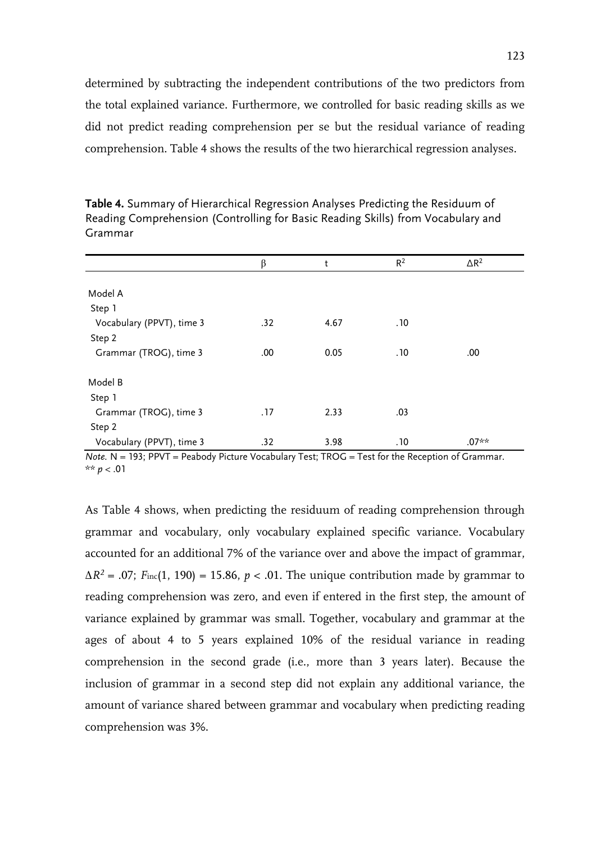determined by subtracting the independent contributions of the two predictors from the total explained variance. Furthermore, we controlled for basic reading skills as we did not predict reading comprehension per se but the residual variance of reading comprehension. Table 4 shows the results of the two hierarchical regression analyses.

|                           | β   | t    | $R^2$ | $\Delta R^2$ |
|---------------------------|-----|------|-------|--------------|
|                           |     |      |       |              |
| Model A                   |     |      |       |              |
| Step 1                    |     |      |       |              |
| Vocabulary (PPVT), time 3 | .32 | 4.67 | .10   |              |
| Step 2                    |     |      |       |              |
| Grammar (TROG), time 3    | .00 | 0.05 | .10   | .00          |
|                           |     |      |       |              |
| Model B                   |     |      |       |              |
| Step 1                    |     |      |       |              |
| Grammar (TROG), time 3    | .17 | 2.33 | .03   |              |
| Step 2                    |     |      |       |              |
| Vocabulary (PPVT), time 3 | .32 | 3.98 | .10   | $.07**$      |

**Table 4.** Summary of Hierarchical Regression Analyses Predicting the Residuum of Reading Comprehension (Controlling for Basic Reading Skills) from Vocabulary and Grammar

*Note.* N = 193; PPVT = Peabody Picture Vocabulary Test; TROG = Test for the Reception of Grammar. \*\*  $p < .01$ 

As Table 4 shows, when predicting the residuum of reading comprehension through grammar and vocabulary, only vocabulary explained specific variance. Vocabulary accounted for an additional 7% of the variance over and above the impact of grammar,  $\Delta R^2$  = .07; *F*inc(1, 190) = 15.86, *p* < .01. The unique contribution made by grammar to reading comprehension was zero, and even if entered in the first step, the amount of variance explained by grammar was small. Together, vocabulary and grammar at the ages of about 4 to 5 years explained 10% of the residual variance in reading comprehension in the second grade (i.e., more than 3 years later). Because the inclusion of grammar in a second step did not explain any additional variance, the amount of variance shared between grammar and vocabulary when predicting reading comprehension was 3%.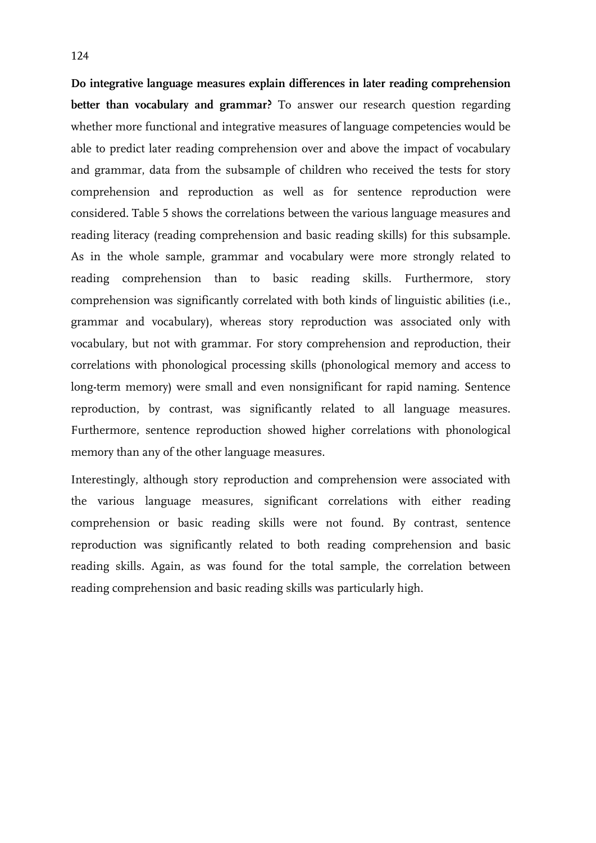**Do integrative language measures explain differences in later reading comprehension better than vocabulary and grammar?** To answer our research question regarding whether more functional and integrative measures of language competencies would be able to predict later reading comprehension over and above the impact of vocabulary and grammar, data from the subsample of children who received the tests for story comprehension and reproduction as well as for sentence reproduction were considered. Table 5 shows the correlations between the various language measures and reading literacy (reading comprehension and basic reading skills) for this subsample. As in the whole sample, grammar and vocabulary were more strongly related to reading comprehension than to basic reading skills. Furthermore, story comprehension was significantly correlated with both kinds of linguistic abilities (i.e., grammar and vocabulary), whereas story reproduction was associated only with vocabulary, but not with grammar. For story comprehension and reproduction, their correlations with phonological processing skills (phonological memory and access to long-term memory) were small and even nonsignificant for rapid naming. Sentence reproduction, by contrast, was significantly related to all language measures. Furthermore, sentence reproduction showed higher correlations with phonological memory than any of the other language measures.

Interestingly, although story reproduction and comprehension were associated with the various language measures, significant correlations with either reading comprehension or basic reading skills were not found. By contrast, sentence reproduction was significantly related to both reading comprehension and basic reading skills. Again, as was found for the total sample, the correlation between reading comprehension and basic reading skills was particularly high.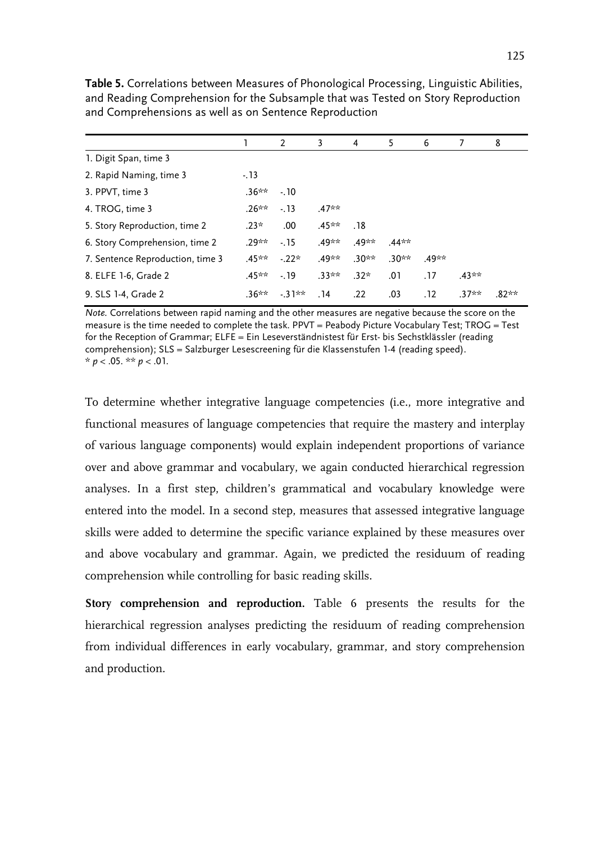|                                  |          | 2       | 3        | 4       | 5       | 6     | 7        | 8       |
|----------------------------------|----------|---------|----------|---------|---------|-------|----------|---------|
| 1. Digit Span, time 3            |          |         |          |         |         |       |          |         |
| 2. Rapid Naming, time 3          | $-13$    |         |          |         |         |       |          |         |
| 3. PPVT, time 3                  | $.36***$ | $-10$   |          |         |         |       |          |         |
| 4. TROG, time 3                  | $.26***$ | $-13$   | $.47**$  |         |         |       |          |         |
| 5. Story Reproduction, time 2    | $.23*$   | .00.    | $.45**$  | .18     |         |       |          |         |
| 6. Story Comprehension, time 2   | .29**    | $-15$   | .49**    | .49**   | $.44**$ |       |          |         |
| 7. Sentence Reproduction, time 3 | $45**$   | $-22*$  | .49**    | $.30**$ | $.30**$ | .49** |          |         |
| 8. ELFE 1-6, Grade 2             | .45**    | $-19$   | $.33***$ | $.32*$  | .01     | .17   | $.43***$ |         |
| 9. SLS 1-4, Grade 2              | .36**    | $-31**$ | . 14     | .22     | .03     | .12   | $.37**$  | $.82**$ |

**Table 5.** Correlations between Measures of Phonological Processing, Linguistic Abilities, and Reading Comprehension for the Subsample that was Tested on Story Reproduction and Comprehensions as well as on Sentence Reproduction

*Note.* Correlations between rapid naming and the other measures are negative because the score on the measure is the time needed to complete the task. PPVT = Peabody Picture Vocabulary Test; TROG = Test for the Reception of Grammar; ELFE = Ein Leseverständnistest für Erst- bis Sechstklässler (reading comprehension); SLS = Salzburger Lesescreening für die Klassenstufen 1-4 (reading speed).  $* p < .05$ . \*\*  $p < .01$ .

To determine whether integrative language competencies (i.e., more integrative and functional measures of language competencies that require the mastery and interplay of various language components) would explain independent proportions of variance over and above grammar and vocabulary, we again conducted hierarchical regression analyses. In a first step, children's grammatical and vocabulary knowledge were entered into the model. In a second step, measures that assessed integrative language skills were added to determine the specific variance explained by these measures over and above vocabulary and grammar. Again, we predicted the residuum of reading comprehension while controlling for basic reading skills.

**Story comprehension and reproduction.** Table 6 presents the results for the hierarchical regression analyses predicting the residuum of reading comprehension from individual differences in early vocabulary, grammar, and story comprehension and production.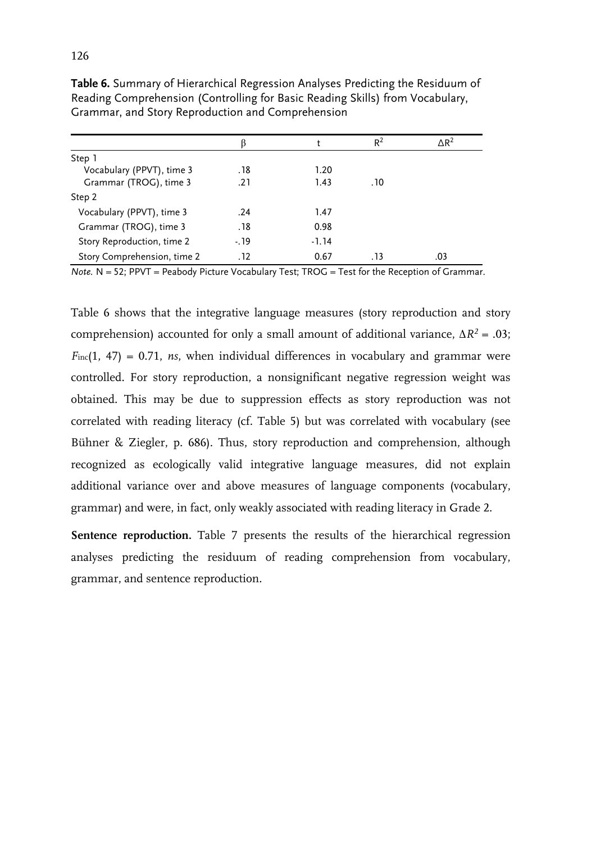|                             |       |         | $R^2$ | $\Delta$ R <sup>2</sup> |
|-----------------------------|-------|---------|-------|-------------------------|
| Step 1                      |       |         |       |                         |
| Vocabulary (PPVT), time 3   | .18   | 1.20    |       |                         |
| Grammar (TROG), time 3      | .21   | 1.43    | . 10  |                         |
| Step 2                      |       |         |       |                         |
| Vocabulary (PPVT), time 3   | .24   | 1.47    |       |                         |
| Grammar (TROG), time 3      | .18   | 0.98    |       |                         |
| Story Reproduction, time 2  | $-19$ | $-1.14$ |       |                         |
| Story Comprehension, time 2 | .12   | 0.67    | . 13  | .03                     |

**Table 6.** Summary of Hierarchical Regression Analyses Predicting the Residuum of Reading Comprehension (Controlling for Basic Reading Skills) from Vocabulary, Grammar, and Story Reproduction and Comprehension

*Note.* N = 52; PPVT = Peabody Picture Vocabulary Test; TROG = Test for the Reception of Grammar.

Table 6 shows that the integrative language measures (story reproduction and story comprehension) accounted for only a small amount of additional variance, ∆*R2* = .03;  $F_{\text{inc}}(1, 47) = 0.71$ , *ns*, when individual differences in vocabulary and grammar were controlled. For story reproduction, a nonsignificant negative regression weight was obtained. This may be due to suppression effects as story reproduction was not correlated with reading literacy (cf. Table 5) but was correlated with vocabulary (see Bühner & Ziegler, p. 686). Thus, story reproduction and comprehension, although recognized as ecologically valid integrative language measures, did not explain additional variance over and above measures of language components (vocabulary, grammar) and were, in fact, only weakly associated with reading literacy in Grade 2.

**Sentence reproduction.** Table 7 presents the results of the hierarchical regression analyses predicting the residuum of reading comprehension from vocabulary, grammar, and sentence reproduction.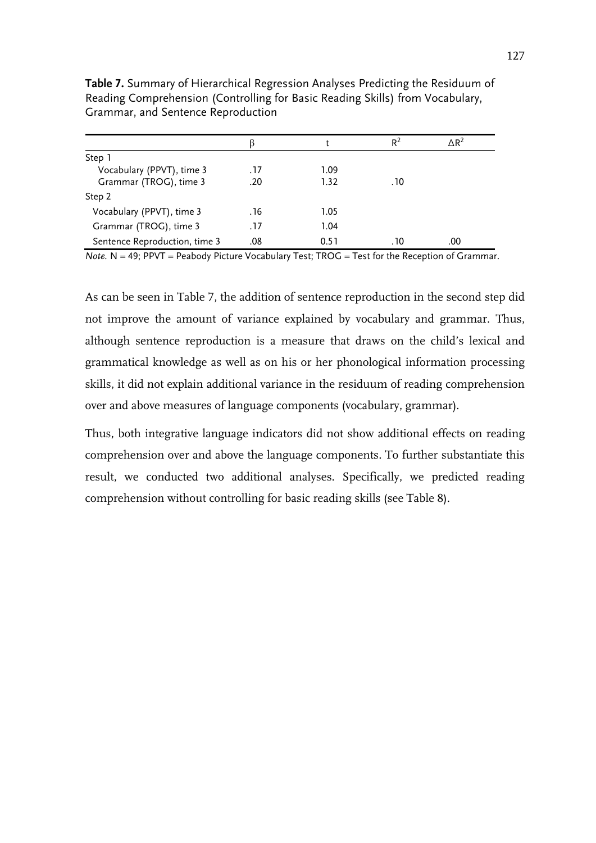|                               | ĸ    |      | R <sup>2</sup> | $\Delta$ R <sup>2</sup> |
|-------------------------------|------|------|----------------|-------------------------|
| Step 1                        |      |      |                |                         |
| Vocabulary (PPVT), time 3     | .17  | 1.09 |                |                         |
| Grammar (TROG), time 3        | .20  | 1.32 | . 10           |                         |
| Step 2                        |      |      |                |                         |
| Vocabulary (PPVT), time 3     | . 16 | 1.05 |                |                         |
| Grammar (TROG), time 3        | .17  | 1.04 |                |                         |
| Sentence Reproduction, time 3 | .08  | 0.51 | . 10           | .00                     |

**Table 7.** Summary of Hierarchical Regression Analyses Predicting the Residuum of Reading Comprehension (Controlling for Basic Reading Skills) from Vocabulary, Grammar, and Sentence Reproduction

*Note.* N = 49; PPVT = Peabody Picture Vocabulary Test; TROG = Test for the Reception of Grammar.

As can be seen in Table 7, the addition of sentence reproduction in the second step did not improve the amount of variance explained by vocabulary and grammar. Thus, although sentence reproduction is a measure that draws on the child's lexical and grammatical knowledge as well as on his or her phonological information processing skills, it did not explain additional variance in the residuum of reading comprehension over and above measures of language components (vocabulary, grammar).

Thus, both integrative language indicators did not show additional effects on reading comprehension over and above the language components. To further substantiate this result, we conducted two additional analyses. Specifically, we predicted reading comprehension without controlling for basic reading skills (see Table 8).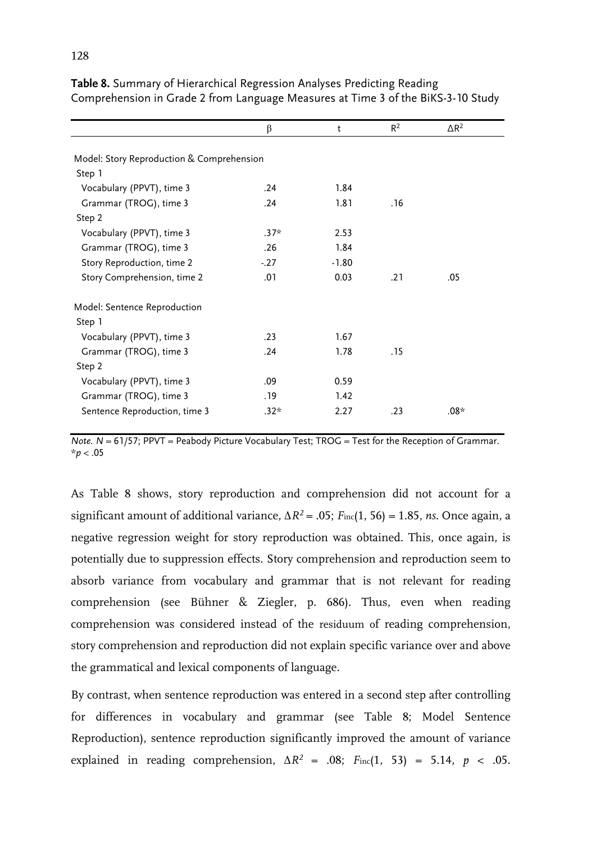|                                           | β      | t       | $R^2$ | $\triangle R^2$ |  |
|-------------------------------------------|--------|---------|-------|-----------------|--|
|                                           |        |         |       |                 |  |
| Model: Story Reproduction & Comprehension |        |         |       |                 |  |
| Step 1                                    |        |         |       |                 |  |
| Vocabulary (PPVT), time 3                 | .24    | 1.84    |       |                 |  |
| Grammar (TROG), time 3                    | .24    | 1.81    | . 16  |                 |  |
| Step 2                                    |        |         |       |                 |  |
| Vocabulary (PPVT), time 3                 | $.37*$ | 2.53    |       |                 |  |
| Grammar (TROG), time 3                    | .26    | 1.84    |       |                 |  |
| Story Reproduction, time 2                | $-27$  | $-1.80$ |       |                 |  |
| Story Comprehension, time 2               | .01    | 0.03    | .21   | .05             |  |
| Model: Sentence Reproduction              |        |         |       |                 |  |
| Step 1                                    |        |         |       |                 |  |
| Vocabulary (PPVT), time 3                 | .23    | 1.67    |       |                 |  |
| Grammar (TROG), time 3                    | .24    | 1.78    | .15   |                 |  |
| Step 2                                    |        |         |       |                 |  |
| Vocabulary (PPVT), time 3                 | .09    | 0.59    |       |                 |  |
| Grammar (TROG), time 3                    | . 19   | 1.42    |       |                 |  |
| Sentence Reproduction, time 3             | $.32*$ | 2.27    | .23   | $.08*$          |  |

**Table 8.** Summary of Hierarchical Regression Analyses Predicting Reading Comprehension in Grade 2 from Language Measures at Time 3 of the BiKS-3-10 Study

*Note.*  $N = 61/57$ ; PPVT = Peabody Picture Vocabulary Test; TROG = Test for the Reception of Grammar. \**p* < .05

As Table 8 shows, story reproduction and comprehension did not account for a significant amount of additional variance,  $\Delta R^2 = .05$ ;  $F_{\text{inc}}(1, 56) = 1.85$ , *ns*. Once again, a negative regression weight for story reproduction was obtained. This, once again, is potentially due to suppression effects. Story comprehension and reproduction seem to absorb variance from vocabulary and grammar that is not relevant for reading comprehension (see Bühner & Ziegler, p. 686). Thus, even when reading comprehension was considered instead of the residuum of reading comprehension, story comprehension and reproduction did not explain specific variance over and above the grammatical and lexical components of language.

By contrast, when sentence reproduction was entered in a second step after controlling for differences in vocabulary and grammar (see Table 8; Model Sentence Reproduction), sentence reproduction significantly improved the amount of variance explained in reading comprehension,  $\Delta R^2$  = .08;  $F_{\text{inc}}(1, 53)$  = 5.14, *p* < .05.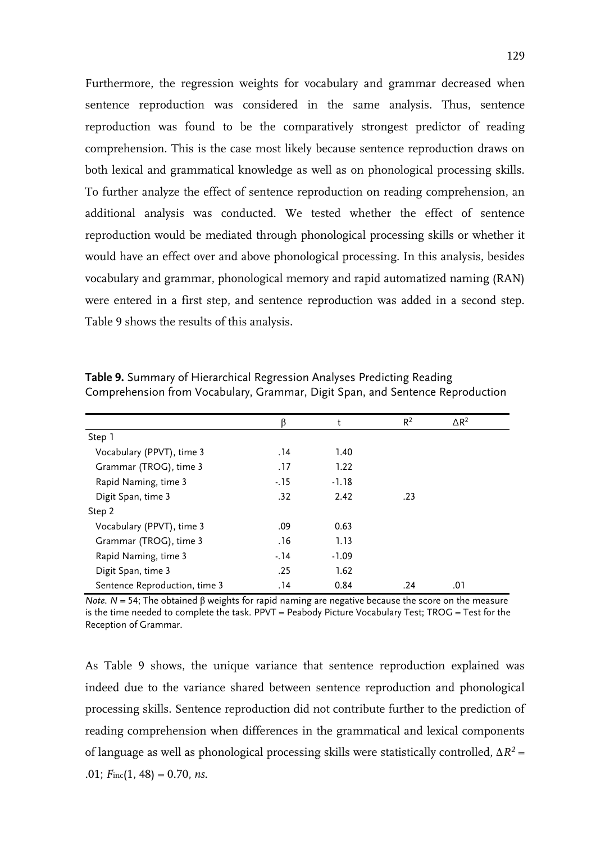Furthermore, the regression weights for vocabulary and grammar decreased when sentence reproduction was considered in the same analysis. Thus, sentence reproduction was found to be the comparatively strongest predictor of reading comprehension. This is the case most likely because sentence reproduction draws on both lexical and grammatical knowledge as well as on phonological processing skills. To further analyze the effect of sentence reproduction on reading comprehension, an additional analysis was conducted. We tested whether the effect of sentence reproduction would be mediated through phonological processing skills or whether it would have an effect over and above phonological processing. In this analysis, besides vocabulary and grammar, phonological memory and rapid automatized naming (RAN) were entered in a first step, and sentence reproduction was added in a second step. Table 9 shows the results of this analysis.

|                               | β     | t       | $R^2$ | $\Delta$ R <sup>2</sup> |  |
|-------------------------------|-------|---------|-------|-------------------------|--|
| Step 1                        |       |         |       |                         |  |
| Vocabulary (PPVT), time 3     | . 14  | 1.40    |       |                         |  |
| Grammar (TROG), time 3        | .17   | 1.22    |       |                         |  |
| Rapid Naming, time 3          | $-15$ | $-1.18$ |       |                         |  |
| Digit Span, time 3            | .32   | 2.42    | .23   |                         |  |
| Step 2                        |       |         |       |                         |  |
| Vocabulary (PPVT), time 3     | .09   | 0.63    |       |                         |  |
| Grammar (TROG), time 3        | . 16  | 1.13    |       |                         |  |
| Rapid Naming, time 3          | $-14$ | $-1.09$ |       |                         |  |
| Digit Span, time 3            | .25   | 1.62    |       |                         |  |
| Sentence Reproduction, time 3 | . 14  | 0.84    | .24   | .01                     |  |

**Table 9.** Summary of Hierarchical Regression Analyses Predicting Reading Comprehension from Vocabulary, Grammar, Digit Span, and Sentence Reproduction

*Note. N* = 54; The obtained β weights for rapid naming are negative because the score on the measure is the time needed to complete the task. PPVT = Peabody Picture Vocabulary Test; TROG = Test for the Reception of Grammar.

As Table 9 shows, the unique variance that sentence reproduction explained was indeed due to the variance shared between sentence reproduction and phonological processing skills. Sentence reproduction did not contribute further to the prediction of reading comprehension when differences in the grammatical and lexical components of language as well as phonological processing skills were statistically controlled,  $\Delta R^2$  = .01; *F*inc(1, 48) = 0.70, *ns*.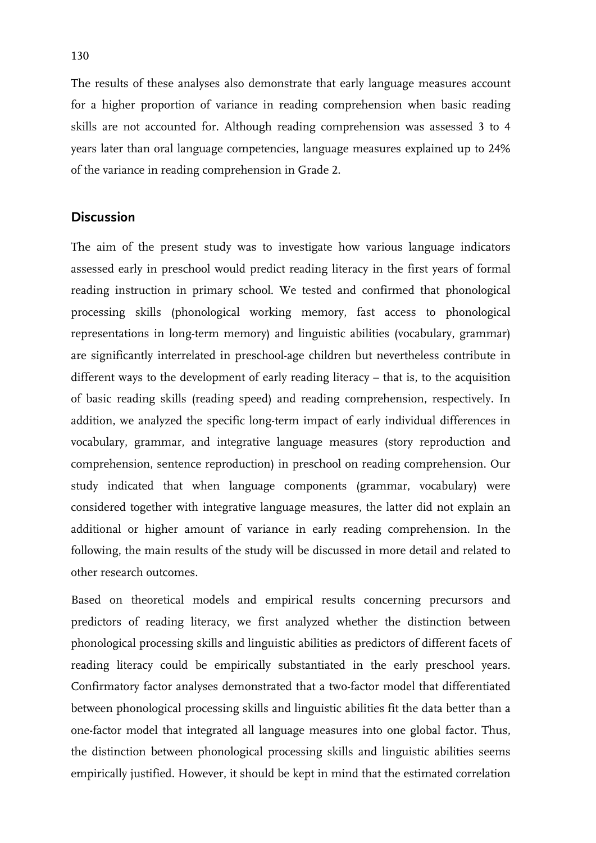The results of these analyses also demonstrate that early language measures account for a higher proportion of variance in reading comprehension when basic reading skills are not accounted for. Although reading comprehension was assessed 3 to 4 years later than oral language competencies, language measures explained up to 24% of the variance in reading comprehension in Grade 2.

# **Discussion**

The aim of the present study was to investigate how various language indicators assessed early in preschool would predict reading literacy in the first years of formal reading instruction in primary school. We tested and confirmed that phonological processing skills (phonological working memory, fast access to phonological representations in long-term memory) and linguistic abilities (vocabulary, grammar) are significantly interrelated in preschool-age children but nevertheless contribute in different ways to the development of early reading literacy – that is, to the acquisition of basic reading skills (reading speed) and reading comprehension, respectively. In addition, we analyzed the specific long-term impact of early individual differences in vocabulary, grammar, and integrative language measures (story reproduction and comprehension, sentence reproduction) in preschool on reading comprehension. Our study indicated that when language components (grammar, vocabulary) were considered together with integrative language measures, the latter did not explain an additional or higher amount of variance in early reading comprehension. In the following, the main results of the study will be discussed in more detail and related to other research outcomes.

Based on theoretical models and empirical results concerning precursors and predictors of reading literacy, we first analyzed whether the distinction between phonological processing skills and linguistic abilities as predictors of different facets of reading literacy could be empirically substantiated in the early preschool years. Confirmatory factor analyses demonstrated that a two-factor model that differentiated between phonological processing skills and linguistic abilities fit the data better than a one-factor model that integrated all language measures into one global factor. Thus, the distinction between phonological processing skills and linguistic abilities seems empirically justified. However, it should be kept in mind that the estimated correlation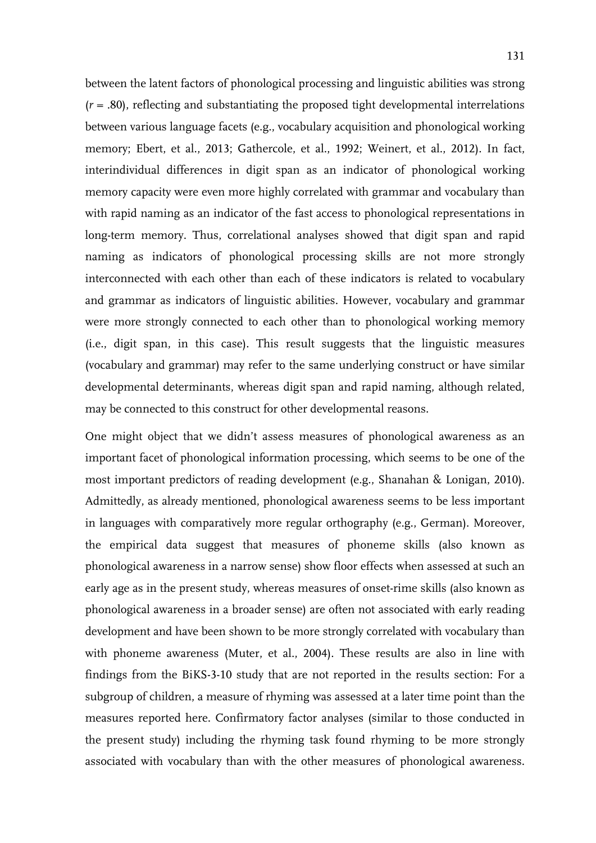between the latent factors of phonological processing and linguistic abilities was strong (*r* = .80), reflecting and substantiating the proposed tight developmental interrelations between various language facets (e.g., vocabulary acquisition and phonological working memory; Ebert, et al., 2013; Gathercole, et al., 1992; Weinert, et al., 2012). In fact, interindividual differences in digit span as an indicator of phonological working memory capacity were even more highly correlated with grammar and vocabulary than with rapid naming as an indicator of the fast access to phonological representations in long-term memory. Thus, correlational analyses showed that digit span and rapid naming as indicators of phonological processing skills are not more strongly interconnected with each other than each of these indicators is related to vocabulary and grammar as indicators of linguistic abilities. However, vocabulary and grammar were more strongly connected to each other than to phonological working memory (i.e., digit span, in this case). This result suggests that the linguistic measures (vocabulary and grammar) may refer to the same underlying construct or have similar developmental determinants, whereas digit span and rapid naming, although related, may be connected to this construct for other developmental reasons.

One might object that we didn't assess measures of phonological awareness as an important facet of phonological information processing, which seems to be one of the most important predictors of reading development (e.g., Shanahan & Lonigan, 2010). Admittedly, as already mentioned, phonological awareness seems to be less important in languages with comparatively more regular orthography (e.g., German). Moreover, the empirical data suggest that measures of phoneme skills (also known as phonological awareness in a narrow sense) show floor effects when assessed at such an early age as in the present study, whereas measures of onset-rime skills (also known as phonological awareness in a broader sense) are often not associated with early reading development and have been shown to be more strongly correlated with vocabulary than with phoneme awareness (Muter, et al., 2004). These results are also in line with findings from the BiKS-3-10 study that are not reported in the results section: For a subgroup of children, a measure of rhyming was assessed at a later time point than the measures reported here. Confirmatory factor analyses (similar to those conducted in the present study) including the rhyming task found rhyming to be more strongly associated with vocabulary than with the other measures of phonological awareness.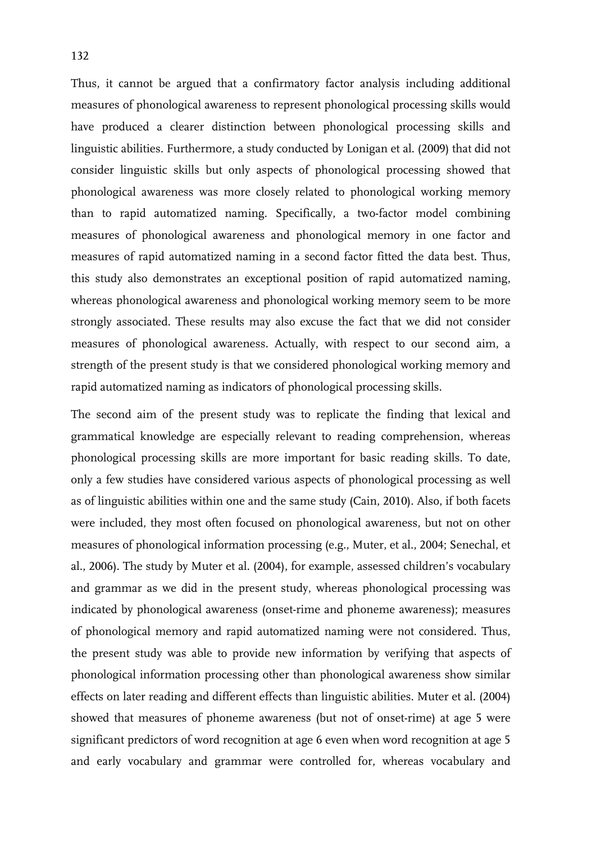Thus, it cannot be argued that a confirmatory factor analysis including additional measures of phonological awareness to represent phonological processing skills would have produced a clearer distinction between phonological processing skills and linguistic abilities. Furthermore, a study conducted by Lonigan et al. (2009) that did not consider linguistic skills but only aspects of phonological processing showed that phonological awareness was more closely related to phonological working memory than to rapid automatized naming. Specifically, a two-factor model combining measures of phonological awareness and phonological memory in one factor and measures of rapid automatized naming in a second factor fitted the data best. Thus, this study also demonstrates an exceptional position of rapid automatized naming, whereas phonological awareness and phonological working memory seem to be more strongly associated. These results may also excuse the fact that we did not consider measures of phonological awareness. Actually, with respect to our second aim, a strength of the present study is that we considered phonological working memory and rapid automatized naming as indicators of phonological processing skills.

The second aim of the present study was to replicate the finding that lexical and grammatical knowledge are especially relevant to reading comprehension, whereas phonological processing skills are more important for basic reading skills. To date, only a few studies have considered various aspects of phonological processing as well as of linguistic abilities within one and the same study (Cain, 2010). Also, if both facets were included, they most often focused on phonological awareness, but not on other measures of phonological information processing (e.g., Muter, et al., 2004; Senechal, et al., 2006). The study by Muter et al. (2004), for example, assessed children's vocabulary and grammar as we did in the present study, whereas phonological processing was indicated by phonological awareness (onset-rime and phoneme awareness); measures of phonological memory and rapid automatized naming were not considered. Thus, the present study was able to provide new information by verifying that aspects of phonological information processing other than phonological awareness show similar effects on later reading and different effects than linguistic abilities. Muter et al. (2004) showed that measures of phoneme awareness (but not of onset-rime) at age 5 were significant predictors of word recognition at age 6 even when word recognition at age 5 and early vocabulary and grammar were controlled for, whereas vocabulary and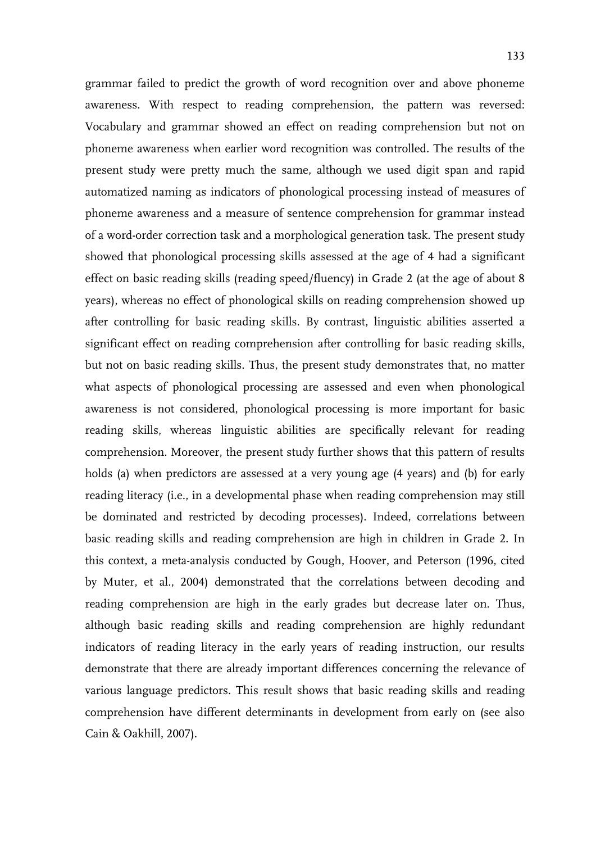awareness. With respect to reading comprehension, the pattern was reversed: Vocabulary and grammar showed an effect on reading comprehension but not on phoneme awareness when earlier word recognition was controlled. The results of the present study were pretty much the same, although we used digit span and rapid automatized naming as indicators of phonological processing instead of measures of phoneme awareness and a measure of sentence comprehension for grammar instead of a word-order correction task and a morphological generation task. The present study showed that phonological processing skills assessed at the age of 4 had a significant effect on basic reading skills (reading speed/fluency) in Grade 2 (at the age of about 8 years), whereas no effect of phonological skills on reading comprehension showed up after controlling for basic reading skills. By contrast, linguistic abilities asserted a significant effect on reading comprehension after controlling for basic reading skills, but not on basic reading skills. Thus, the present study demonstrates that, no matter what aspects of phonological processing are assessed and even when phonological awareness is not considered, phonological processing is more important for basic reading skills, whereas linguistic abilities are specifically relevant for reading comprehension. Moreover, the present study further shows that this pattern of results holds (a) when predictors are assessed at a very young age (4 years) and (b) for early reading literacy (i.e., in a developmental phase when reading comprehension may still be dominated and restricted by decoding processes). Indeed, correlations between basic reading skills and reading comprehension are high in children in Grade 2. In this context, a meta-analysis conducted by Gough, Hoover, and Peterson (1996, cited by Muter, et al., 2004) demonstrated that the correlations between decoding and reading comprehension are high in the early grades but decrease later on. Thus, although basic reading skills and reading comprehension are highly redundant indicators of reading literacy in the early years of reading instruction, our results demonstrate that there are already important differences concerning the relevance of various language predictors. This result shows that basic reading skills and reading comprehension have different determinants in development from early on (see also Cain & Oakhill, 2007).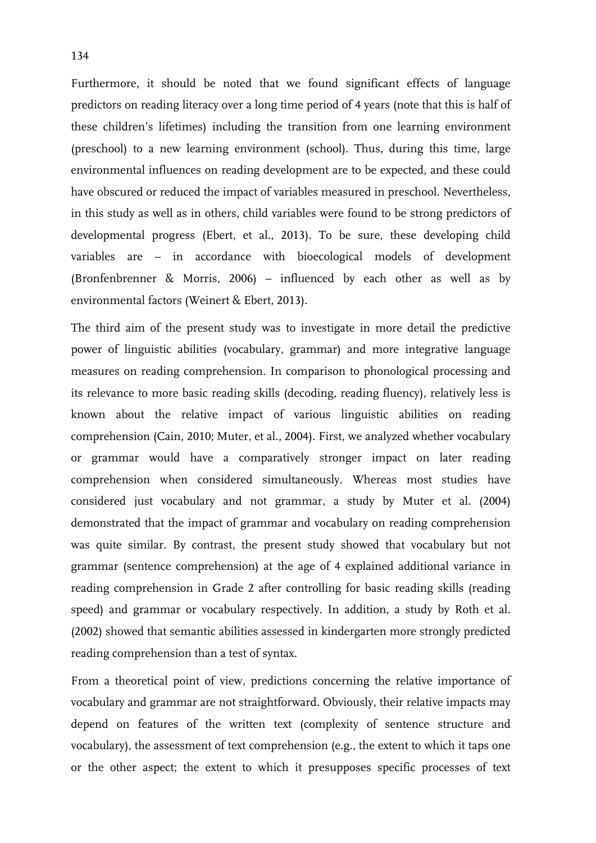Furthermore, it should be noted that we found significant effects of language predictors on reading literacy over a long time period of 4 years (note that this is half of these children's lifetimes) including the transition from one learning environment (preschool) to a new learning environment (school). Thus, during this time, large environmental influences on reading development are to be expected, and these could have obscured or reduced the impact of variables measured in preschool. Nevertheless, in this study as well as in others, child variables were found to be strong predictors of developmental progress (Ebert, et al., 2013). To be sure, these developing child variables are – in accordance with bioecological models of development (Bronfenbrenner & Morris, 2006) – influenced by each other as well as by environmental factors (Weinert & Ebert, 2013).

The third aim of the present study was to investigate in more detail the predictive power of linguistic abilities (vocabulary, grammar) and more integrative language measures on reading comprehension. In comparison to phonological processing and its relevance to more basic reading skills (decoding, reading fluency), relatively less is known about the relative impact of various linguistic abilities on reading comprehension (Cain, 2010; Muter, et al., 2004). First, we analyzed whether vocabulary or grammar would have a comparatively stronger impact on later reading comprehension when considered simultaneously. Whereas most studies have considered just vocabulary and not grammar, a study by Muter et al. (2004) demonstrated that the impact of grammar and vocabulary on reading comprehension was quite similar. By contrast, the present study showed that vocabulary but not grammar (sentence comprehension) at the age of 4 explained additional variance in reading comprehension in Grade 2 after controlling for basic reading skills (reading speed) and grammar or vocabulary respectively. In addition, a study by Roth et al. (2002) showed that semantic abilities assessed in kindergarten more strongly predicted reading comprehension than a test of syntax.

From a theoretical point of view, predictions concerning the relative importance of vocabulary and grammar are not straightforward. Obviously, their relative impacts may depend on features of the written text (complexity of sentence structure and vocabulary), the assessment of text comprehension (e.g., the extent to which it taps one or the other aspect; the extent to which it presupposes specific processes of text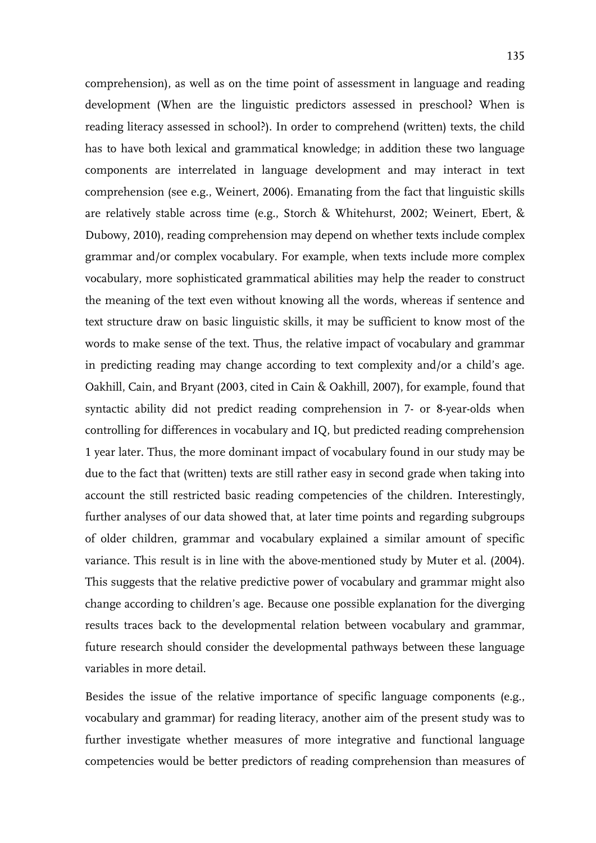comprehension), as well as on the time point of assessment in language and reading development (When are the linguistic predictors assessed in preschool? When is reading literacy assessed in school?). In order to comprehend (written) texts, the child has to have both lexical and grammatical knowledge; in addition these two language components are interrelated in language development and may interact in text comprehension (see e.g., Weinert, 2006). Emanating from the fact that linguistic skills are relatively stable across time (e.g., Storch & Whitehurst, 2002; Weinert, Ebert, & Dubowy, 2010), reading comprehension may depend on whether texts include complex grammar and/or complex vocabulary. For example, when texts include more complex vocabulary, more sophisticated grammatical abilities may help the reader to construct the meaning of the text even without knowing all the words, whereas if sentence and text structure draw on basic linguistic skills, it may be sufficient to know most of the words to make sense of the text. Thus, the relative impact of vocabulary and grammar in predicting reading may change according to text complexity and/or a child's age. Oakhill, Cain, and Bryant (2003, cited in Cain & Oakhill, 2007), for example, found that syntactic ability did not predict reading comprehension in 7- or 8-year-olds when controlling for differences in vocabulary and IQ, but predicted reading comprehension 1 year later. Thus, the more dominant impact of vocabulary found in our study may be due to the fact that (written) texts are still rather easy in second grade when taking into account the still restricted basic reading competencies of the children. Interestingly, further analyses of our data showed that, at later time points and regarding subgroups of older children, grammar and vocabulary explained a similar amount of specific variance. This result is in line with the above-mentioned study by Muter et al. (2004). This suggests that the relative predictive power of vocabulary and grammar might also change according to children's age. Because one possible explanation for the diverging results traces back to the developmental relation between vocabulary and grammar, future research should consider the developmental pathways between these language variables in more detail.

Besides the issue of the relative importance of specific language components (e.g., vocabulary and grammar) for reading literacy, another aim of the present study was to further investigate whether measures of more integrative and functional language competencies would be better predictors of reading comprehension than measures of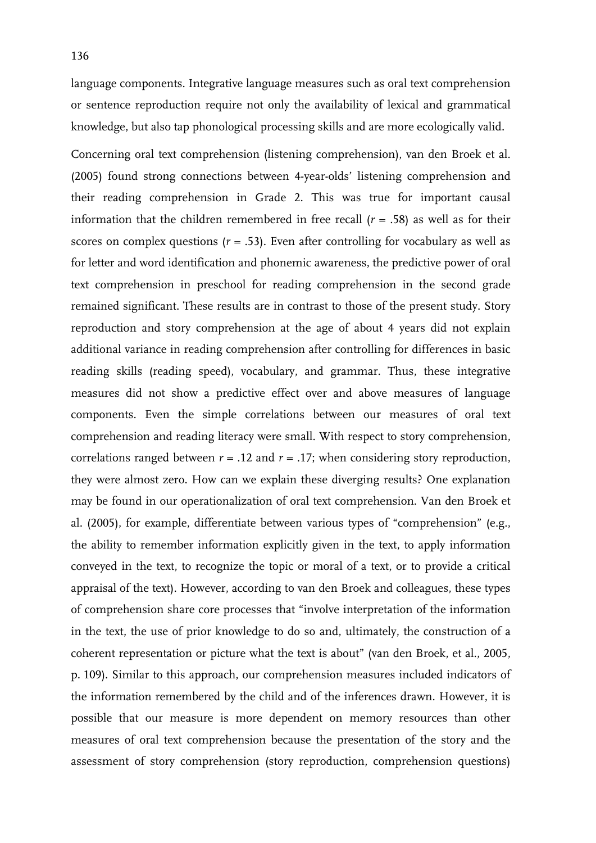Concerning oral text comprehension (listening comprehension), van den Broek et al. (2005) found strong connections between 4-year-olds' listening comprehension and their reading comprehension in Grade 2. This was true for important causal information that the children remembered in free recall  $(r = .58)$  as well as for their scores on complex questions  $(r = .53)$ . Even after controlling for vocabulary as well as for letter and word identification and phonemic awareness, the predictive power of oral text comprehension in preschool for reading comprehension in the second grade remained significant. These results are in contrast to those of the present study. Story reproduction and story comprehension at the age of about 4 years did not explain additional variance in reading comprehension after controlling for differences in basic reading skills (reading speed), vocabulary, and grammar. Thus, these integrative measures did not show a predictive effect over and above measures of language components. Even the simple correlations between our measures of oral text comprehension and reading literacy were small. With respect to story comprehension, correlations ranged between  $r = .12$  and  $r = .17$ ; when considering story reproduction, they were almost zero. How can we explain these diverging results? One explanation may be found in our operationalization of oral text comprehension. Van den Broek et al. (2005), for example, differentiate between various types of "comprehension" (e.g., the ability to remember information explicitly given in the text, to apply information conveyed in the text, to recognize the topic or moral of a text, or to provide a critical appraisal of the text). However, according to van den Broek and colleagues, these types of comprehension share core processes that "involve interpretation of the information in the text, the use of prior knowledge to do so and, ultimately, the construction of a coherent representation or picture what the text is about" (van den Broek, et al., 2005, p. 109). Similar to this approach, our comprehension measures included indicators of the information remembered by the child and of the inferences drawn. However, it is possible that our measure is more dependent on memory resources than other measures of oral text comprehension because the presentation of the story and the assessment of story comprehension (story reproduction, comprehension questions)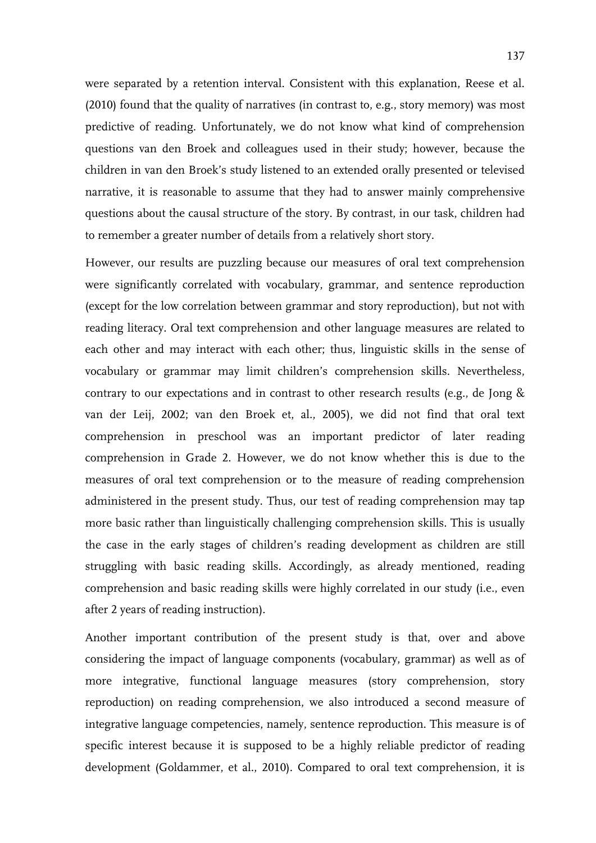were separated by a retention interval. Consistent with this explanation, Reese et al. (2010) found that the quality of narratives (in contrast to, e.g., story memory) was most predictive of reading. Unfortunately, we do not know what kind of comprehension questions van den Broek and colleagues used in their study; however, because the children in van den Broek's study listened to an extended orally presented or televised narrative, it is reasonable to assume that they had to answer mainly comprehensive questions about the causal structure of the story. By contrast, in our task, children had to remember a greater number of details from a relatively short story.

However, our results are puzzling because our measures of oral text comprehension were significantly correlated with vocabulary, grammar, and sentence reproduction (except for the low correlation between grammar and story reproduction), but not with reading literacy. Oral text comprehension and other language measures are related to each other and may interact with each other; thus, linguistic skills in the sense of vocabulary or grammar may limit children's comprehension skills. Nevertheless, contrary to our expectations and in contrast to other research results (e.g., de Jong & van der Leij, 2002; van den Broek et, al., 2005), we did not find that oral text comprehension in preschool was an important predictor of later reading comprehension in Grade 2. However, we do not know whether this is due to the measures of oral text comprehension or to the measure of reading comprehension administered in the present study. Thus, our test of reading comprehension may tap more basic rather than linguistically challenging comprehension skills. This is usually the case in the early stages of children's reading development as children are still struggling with basic reading skills. Accordingly, as already mentioned, reading comprehension and basic reading skills were highly correlated in our study (i.e., even after 2 years of reading instruction).

Another important contribution of the present study is that, over and above considering the impact of language components (vocabulary, grammar) as well as of more integrative, functional language measures (story comprehension, story reproduction) on reading comprehension, we also introduced a second measure of integrative language competencies, namely, sentence reproduction. This measure is of specific interest because it is supposed to be a highly reliable predictor of reading development (Goldammer, et al., 2010). Compared to oral text comprehension, it is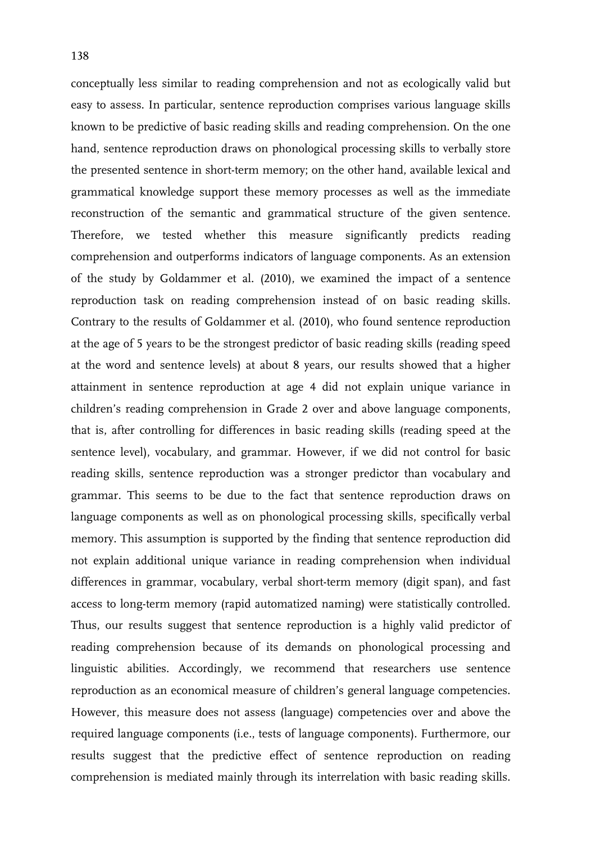conceptually less similar to reading comprehension and not as ecologically valid but easy to assess. In particular, sentence reproduction comprises various language skills known to be predictive of basic reading skills and reading comprehension. On the one hand, sentence reproduction draws on phonological processing skills to verbally store the presented sentence in short-term memory; on the other hand, available lexical and grammatical knowledge support these memory processes as well as the immediate reconstruction of the semantic and grammatical structure of the given sentence. Therefore, we tested whether this measure significantly predicts reading comprehension and outperforms indicators of language components. As an extension of the study by Goldammer et al. (2010), we examined the impact of a sentence reproduction task on reading comprehension instead of on basic reading skills. Contrary to the results of Goldammer et al. (2010), who found sentence reproduction at the age of 5 years to be the strongest predictor of basic reading skills (reading speed at the word and sentence levels) at about 8 years, our results showed that a higher attainment in sentence reproduction at age 4 did not explain unique variance in children's reading comprehension in Grade 2 over and above language components, that is, after controlling for differences in basic reading skills (reading speed at the sentence level), vocabulary, and grammar. However, if we did not control for basic reading skills, sentence reproduction was a stronger predictor than vocabulary and grammar. This seems to be due to the fact that sentence reproduction draws on language components as well as on phonological processing skills, specifically verbal memory. This assumption is supported by the finding that sentence reproduction did not explain additional unique variance in reading comprehension when individual differences in grammar, vocabulary, verbal short-term memory (digit span), and fast access to long-term memory (rapid automatized naming) were statistically controlled. Thus, our results suggest that sentence reproduction is a highly valid predictor of reading comprehension because of its demands on phonological processing and linguistic abilities. Accordingly, we recommend that researchers use sentence reproduction as an economical measure of children's general language competencies. However, this measure does not assess (language) competencies over and above the required language components (i.e., tests of language components). Furthermore, our results suggest that the predictive effect of sentence reproduction on reading comprehension is mediated mainly through its interrelation with basic reading skills.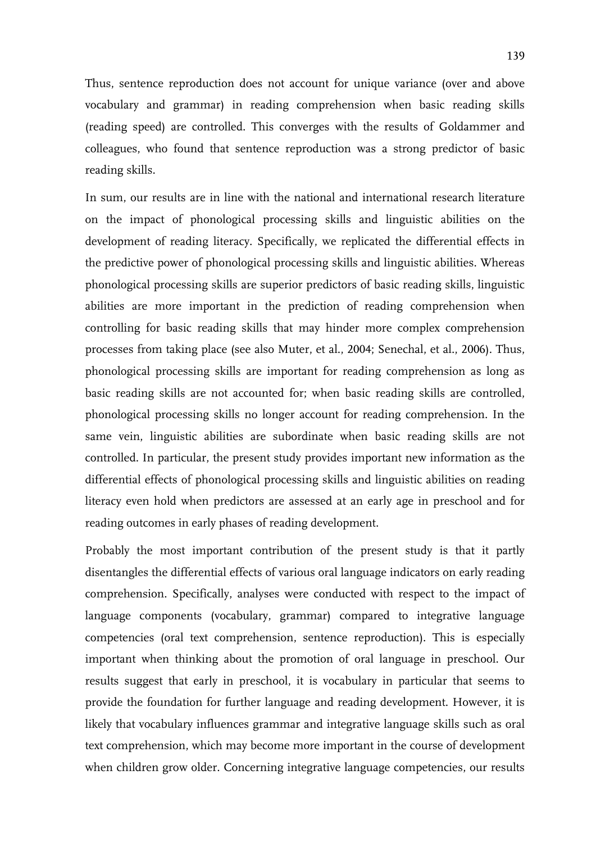Thus, sentence reproduction does not account for unique variance (over and above vocabulary and grammar) in reading comprehension when basic reading skills (reading speed) are controlled. This converges with the results of Goldammer and colleagues, who found that sentence reproduction was a strong predictor of basic reading skills.

In sum, our results are in line with the national and international research literature on the impact of phonological processing skills and linguistic abilities on the development of reading literacy. Specifically, we replicated the differential effects in the predictive power of phonological processing skills and linguistic abilities. Whereas phonological processing skills are superior predictors of basic reading skills, linguistic abilities are more important in the prediction of reading comprehension when controlling for basic reading skills that may hinder more complex comprehension processes from taking place (see also Muter, et al., 2004; Senechal, et al., 2006). Thus, phonological processing skills are important for reading comprehension as long as basic reading skills are not accounted for; when basic reading skills are controlled, phonological processing skills no longer account for reading comprehension. In the same vein, linguistic abilities are subordinate when basic reading skills are not controlled. In particular, the present study provides important new information as the differential effects of phonological processing skills and linguistic abilities on reading literacy even hold when predictors are assessed at an early age in preschool and for reading outcomes in early phases of reading development.

Probably the most important contribution of the present study is that it partly disentangles the differential effects of various oral language indicators on early reading comprehension. Specifically, analyses were conducted with respect to the impact of language components (vocabulary, grammar) compared to integrative language competencies (oral text comprehension, sentence reproduction). This is especially important when thinking about the promotion of oral language in preschool. Our results suggest that early in preschool, it is vocabulary in particular that seems to provide the foundation for further language and reading development. However, it is likely that vocabulary influences grammar and integrative language skills such as oral text comprehension, which may become more important in the course of development when children grow older. Concerning integrative language competencies, our results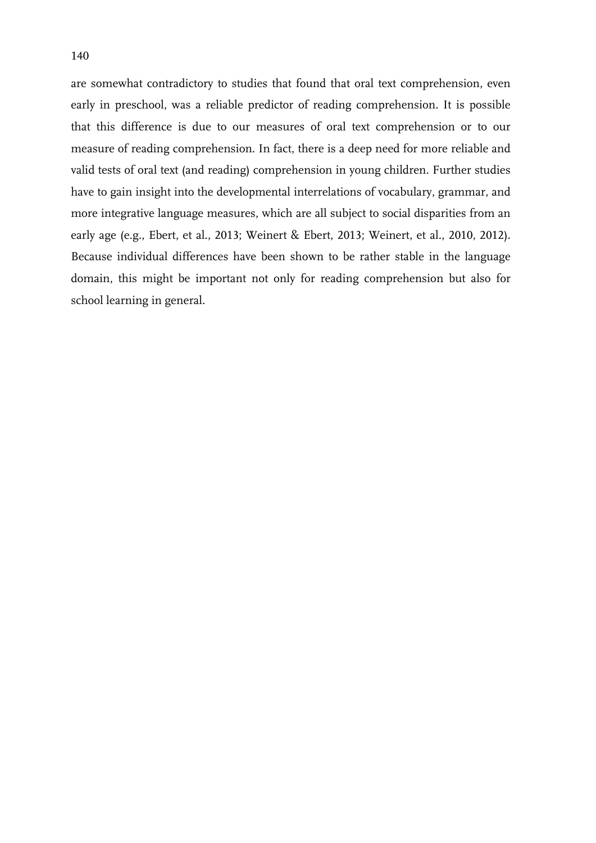are somewhat contradictory to studies that found that oral text comprehension, even early in preschool, was a reliable predictor of reading comprehension. It is possible that this difference is due to our measures of oral text comprehension or to our measure of reading comprehension. In fact, there is a deep need for more reliable and valid tests of oral text (and reading) comprehension in young children. Further studies have to gain insight into the developmental interrelations of vocabulary, grammar, and more integrative language measures, which are all subject to social disparities from an early age (e.g., Ebert, et al., 2013; Weinert & Ebert, 2013; Weinert, et al., 2010, 2012). Because individual differences have been shown to be rather stable in the language domain, this might be important not only for reading comprehension but also for school learning in general.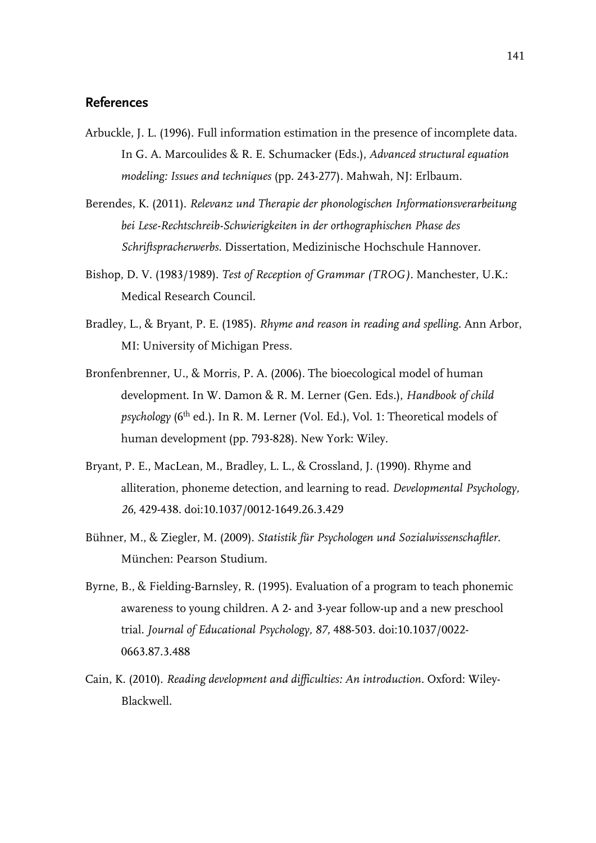# **References**

- Arbuckle, J. L. (1996). Full information estimation in the presence of incomplete data. In G. A. Marcoulides & R. E. Schumacker (Eds.), *Advanced structural equation modeling: Issues and techniques* (pp. 243-277)*.* Mahwah, NJ: Erlbaum.
- Berendes, K. (2011). *Relevanz und Therapie der phonologischen Informationsverarbeitung bei Lese-Rechtschreib-Schwierigkeiten in der orthographischen Phase des Schriftspracherwerbs.* Dissertation, Medizinische Hochschule Hannover.
- Bishop, D. V. (1983/1989). *Test of Reception of Grammar (TROG).* Manchester, U.K.: Medical Research Council.
- Bradley, L., & Bryant, P. E. (1985). *Rhyme and reason in reading and spelling.* Ann Arbor, MI: University of Michigan Press.
- Bronfenbrenner, U., & Morris, P. A. (2006). The bioecological model of human development. In W. Damon & R. M. Lerner (Gen. Eds.), *Handbook of child psychology* (6<sup>th</sup> ed.). In R. M. Lerner (Vol. Ed.), Vol. 1: Theoretical models of human development (pp. 793-828). New York: Wiley.
- Bryant, P. E., MacLean, M., Bradley, L. L., & Crossland, J. (1990). Rhyme and alliteration, phoneme detection, and learning to read. *Developmental Psychology, 26*, 429-438. doi:10.1037/0012-1649.26.3.429
- Bühner, M., & Ziegler, M. (2009). *Statistik für Psychologen und Sozialwissenschaftler*. München: Pearson Studium.
- Byrne, B., & Fielding-Barnsley, R. (1995). Evaluation of a program to teach phonemic awareness to young children. A 2- and 3-year follow-up and a new preschool trial. *Journal of Educational Psychology, 87,* 488-503. doi:10.1037/0022- 0663.87.3.488
- Cain, K. (2010). *Reading development and difficulties: An introduction.* Oxford: Wiley-Blackwell.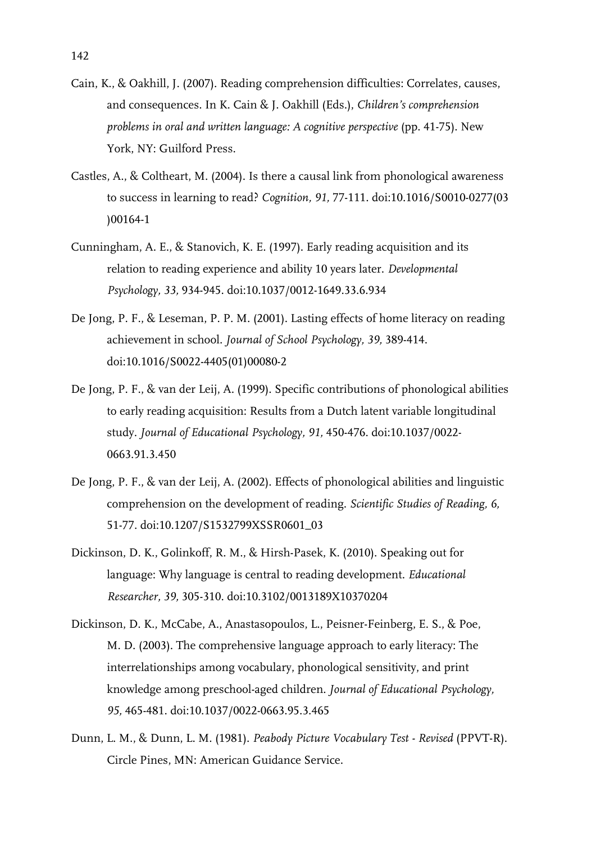- Cain, K., & Oakhill, J. (2007). Reading comprehension difficulties: Correlates, causes, and consequences. In K. Cain & J. Oakhill (Eds.), *Children's comprehension problems in oral and written language: A cognitive perspective* (pp. 41-75). New York, NY: Guilford Press.
- Castles, A., & Coltheart, M. (2004). Is there a causal link from phonological awareness to success in learning to read? *Cognition, 91,* 77-111. doi:10.1016/S0010-0277(03 )00164-1
- Cunningham, A. E., & Stanovich, K. E. (1997). Early reading acquisition and its relation to reading experience and ability 10 years later. *Developmental Psychology, 33,* 934-945. doi:10.1037/0012-1649.33.6.934
- De Jong, P. F., & Leseman, P. P. M. (2001). Lasting effects of home literacy on reading achievement in school. *Journal of School Psychology, 39,* 389-414. doi:10.1016/S0022-4405(01)00080-2
- De Jong, P. F., & van der Leij, A. (1999). Specific contributions of phonological abilities to early reading acquisition: Results from a Dutch latent variable longitudinal study. *Journal of Educational Psychology, 91,* 450-476. doi:10.1037/0022- 0663.91.3.450
- De Jong, P. F., & van der Leij, A. (2002). Effects of phonological abilities and linguistic comprehension on the development of reading. *Scientific Studies of Reading, 6,* 51-77. doi:10.1207/S1532799XSSR0601\_03
- Dickinson, D. K., Golinkoff, R. M., & Hirsh-Pasek, K. (2010). Speaking out for language: Why language is central to reading development. *Educational Researcher, 39,* 305-310. doi:10.3102/0013189X10370204
- Dickinson, D. K., McCabe, A., Anastasopoulos, L., Peisner-Feinberg, E. S., & Poe, M. D. (2003). The comprehensive language approach to early literacy: The interrelationships among vocabulary, phonological sensitivity, and print knowledge among preschool-aged children. *Journal of Educational Psychology, 95,* 465-481. doi:10.1037/0022-0663.95.3.465
- Dunn, L. M., & Dunn, L. M. (1981). *Peabody Picture Vocabulary Test Revised* (PPVT-R). Circle Pines, MN: American Guidance Service.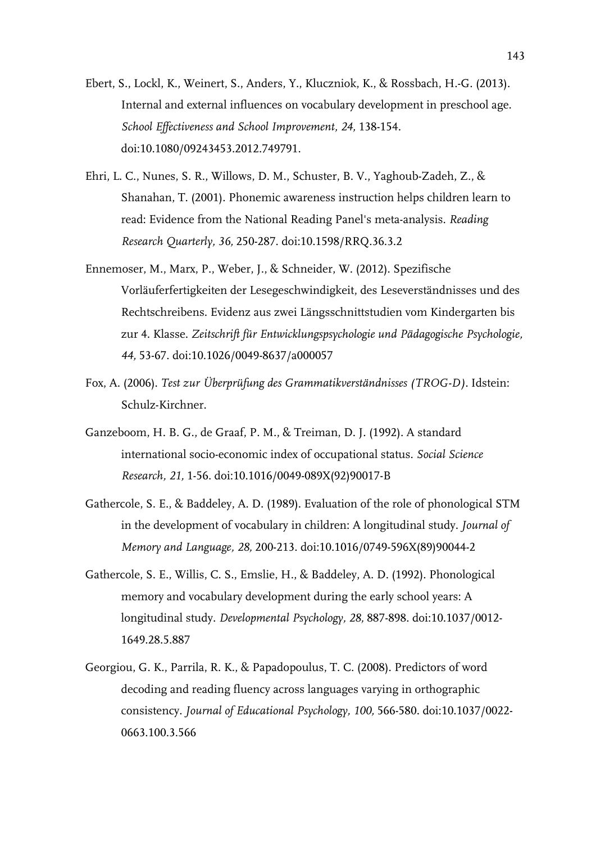- Ebert, S., Lockl, K., Weinert, S., Anders, Y., Kluczniok, K., & Rossbach, H.-G. (2013). Internal and external influences on vocabulary development in preschool age. *School Effectiveness and School Improvement, 24,* 138-154. doi:10.1080/09243453.2012.749791.
- Ehri, L. C., Nunes, S. R., Willows, D. M., Schuster, B. V., Yaghoub-Zadeh, Z., & Shanahan, T. (2001). Phonemic awareness instruction helps children learn to read: Evidence from the National Reading Panel's meta-analysis. *Reading Research Quarterly, 36,* 250-287. doi:10.1598/RRQ.36.3.2
- Ennemoser, M., Marx, P., Weber, J., & Schneider, W. (2012). Spezifische Vorläuferfertigkeiten der Lesegeschwindigkeit, des Leseverständnisses und des Rechtschreibens. Evidenz aus zwei Längsschnittstudien vom Kindergarten bis zur 4. Klasse. *Zeitschrift für Entwicklungspsychologie und Pädagogische Psychologie, 44,* 53-67. doi:10.1026/0049-8637/a000057
- Fox, A. (2006). *Test zur Überprüfung des Grammatikverständnisses (TROG-D).* Idstein: Schulz-Kirchner.
- Ganzeboom, H. B. G., de Graaf, P. M., & Treiman, D. J. (1992). A standard international socio-economic index of occupational status. *Social Science Research, 21,* 1-56. doi:10.1016/0049-089X(92)90017-B
- Gathercole, S. E., & Baddeley, A. D. (1989). Evaluation of the role of phonological STM in the development of vocabulary in children: A longitudinal study. *Journal of Memory and Language, 28,* 200-213. doi:10.1016/0749-596X(89)90044-2
- Gathercole, S. E., Willis, C. S., Emslie, H., & Baddeley, A. D. (1992). Phonological memory and vocabulary development during the early school years: A longitudinal study. *Developmental Psychology, 28,* 887-898. doi:10.1037/0012- 1649.28.5.887
- Georgiou, G. K., Parrila, R. K., & Papadopoulus, T. C. (2008). Predictors of word decoding and reading fluency across languages varying in orthographic consistency. *Journal of Educational Psychology, 100,* 566-580. doi:10.1037/0022- 0663.100.3.566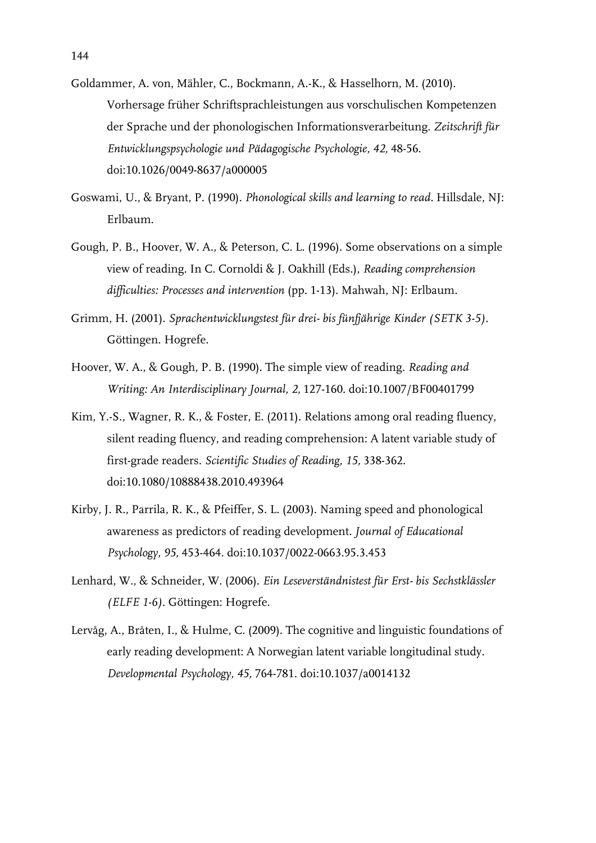- Goldammer, A. von, Mähler, C., Bockmann, A.-K., & Hasselhorn, M. (2010). Vorhersage früher Schriftsprachleistungen aus vorschulischen Kompetenzen der Sprache und der phonologischen Informationsverarbeitung. *Zeitschrift für Entwicklungspsychologie und Pädagogische Psychologie, 42,* 48-56. doi:10.1026/0049-8637/a000005
- Goswami, U., & Bryant, P. (1990). *Phonological skills and learning to read.* Hillsdale, NJ: Erlbaum.
- Gough, P. B., Hoover, W. A., & Peterson, C. L. (1996). Some observations on a simple view of reading. In C. Cornoldi & J. Oakhill (Eds.), *Reading comprehension difficulties: Processes and intervention* (pp. 1-13). Mahwah, NJ: Erlbaum.
- Grimm, H. (2001). *Sprachentwicklungstest für drei- bis fünfjährige Kinder (SETK 3-5).* Göttingen. Hogrefe.
- Hoover, W. A., & Gough, P. B. (1990). The simple view of reading. *Reading and Writing: An Interdisciplinary Journal, 2,* 127-160. doi:10.1007/BF00401799
- Kim, Y.-S., Wagner, R. K., & Foster, E. (2011). Relations among oral reading fluency, silent reading fluency, and reading comprehension: A latent variable study of first-grade readers. *Scientific Studies of Reading, 15,* 338-362. doi:10.1080/10888438.2010.493964
- Kirby, J. R., Parrila, R. K., & Pfeiffer, S. L. (2003). Naming speed and phonological awareness as predictors of reading development. *Journal of Educational Psychology, 95,* 453-464. doi:10.1037/0022-0663.95.3.453
- Lenhard, W., & Schneider, W. (2006). *Ein Leseverständnistest für Erst- bis Sechstklässler (ELFE 1-6)*. Göttingen: Hogrefe.
- Lervåg, A., Bråten, I., & Hulme, C. (2009). The cognitive and linguistic foundations of early reading development: A Norwegian latent variable longitudinal study*. Developmental Psychology, 45,* 764-781. doi:10.1037/a0014132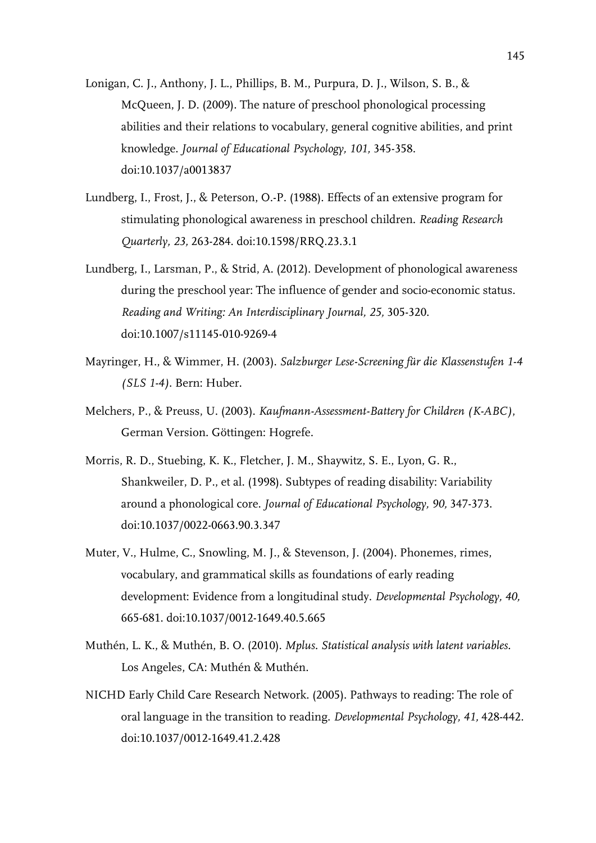- Lonigan, C. J., Anthony, J. L., Phillips, B. M., Purpura, D. J., Wilson, S. B., & McQueen, J. D. (2009). The nature of preschool phonological processing abilities and their relations to vocabulary, general cognitive abilities, and print knowledge. *Journal of Educational Psychology, 101,* 345-358. doi:10.1037/a0013837
- Lundberg, I., Frost, J., & Peterson, O.-P. (1988). Effects of an extensive program for stimulating phonological awareness in preschool children. *Reading Research Quarterly, 23,* 263-284. doi:10.1598/RRQ.23.3.1
- Lundberg, I., Larsman, P., & Strid, A. (2012). Development of phonological awareness during the preschool year: The influence of gender and socio-economic status. *Reading and Writing: An Interdisciplinary Journal, 25,* 305-320. doi:10.1007/s11145-010-9269-4
- Mayringer, H., & Wimmer, H. (2003). *Salzburger Lese-Screening für die Klassenstufen 1-4 (SLS 1-4)*. Bern: Huber.
- Melchers, P., & Preuss, U. (2003). *Kaufmann-Assessment-Battery for Children (K-ABC)*, German Version. Göttingen: Hogrefe.
- Morris, R. D., Stuebing, K. K., Fletcher, J. M., Shaywitz, S. E., Lyon, G. R., Shankweiler, D. P., et al. (1998). Subtypes of reading disability: Variability around a phonological core. *Journal of Educational Psychology, 90,* 347-373. doi:10.1037/0022-0663.90.3.347
- Muter, V., Hulme, C., Snowling, M. J., & Stevenson, J. (2004). Phonemes, rimes, vocabulary, and grammatical skills as foundations of early reading development: Evidence from a longitudinal study. *Developmental Psychology, 40,* 665-681. doi:10.1037/0012-1649.40.5.665
- Muthén, L. K., & Muthén, B. O. (2010). *Mplus. Statistical analysis with latent variables.*  Los Angeles, CA: Muthén & Muthén.
- NICHD Early Child Care Research Network. (2005). Pathways to reading: The role of oral language in the transition to reading. *Developmental Psychology, 41,* 428-442. doi:10.1037/0012-1649.41.2.428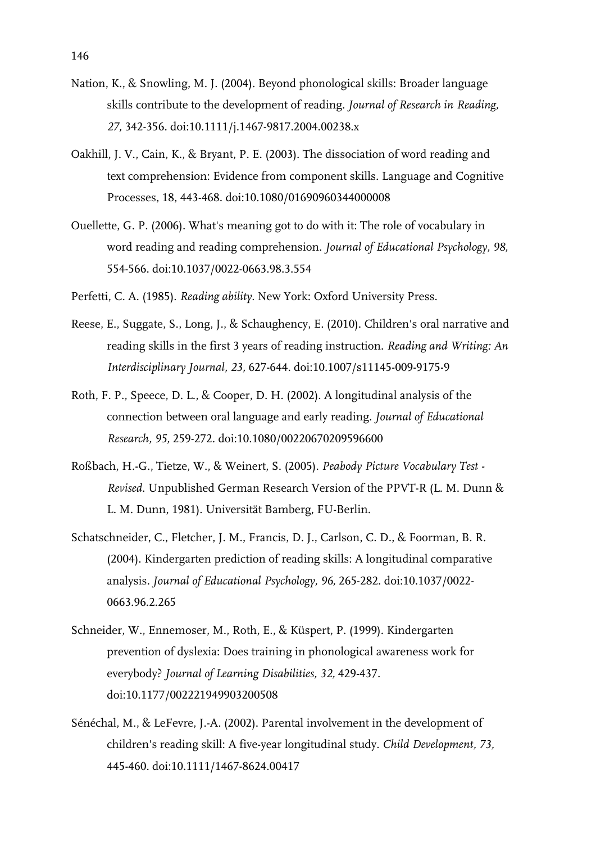- Nation, K., & Snowling, M. J. (2004). Beyond phonological skills: Broader language skills contribute to the development of reading. *Journal of Research in Reading, 27,* 342-356. doi:10.1111/j.1467-9817.2004.00238.x
- Oakhill, J. V., Cain, K., & Bryant, P. E. (2003). The dissociation of word reading and text comprehension: Evidence from component skills. Language and Cognitive Processes, 18, 443-468. doi:10.1080/01690960344000008
- Ouellette, G. P. (2006). What's meaning got to do with it: The role of vocabulary in word reading and reading comprehension. *Journal of Educational Psychology, 98,* 554-566. doi:10.1037/0022-0663.98.3.554
- Perfetti, C. A. (1985). *Reading ability*. New York: Oxford University Press.
- Reese, E., Suggate, S., Long, J., & Schaughency, E. (2010). Children's oral narrative and reading skills in the first 3 years of reading instruction. *Reading and Writing: An Interdisciplinary Journal, 23,* 627-644. doi:10.1007/s11145-009-9175-9
- Roth, F. P., Speece, D. L., & Cooper, D. H. (2002). A longitudinal analysis of the connection between oral language and early reading. *Journal of Educational Research, 95,* 259-272. doi:10.1080/00220670209596600
- Roßbach, H.-G., Tietze, W., & Weinert, S. (2005). *Peabody Picture Vocabulary Test Revised*. Unpublished German Research Version of the PPVT-R (L. M. Dunn & L. M. Dunn, 1981). Universität Bamberg, FU-Berlin.
- Schatschneider, C., Fletcher, J. M., Francis, D. J., Carlson, C. D., & Foorman, B. R. (2004). Kindergarten prediction of reading skills: A longitudinal comparative analysis*. Journal of Educational Psychology, 96,* 265-282. doi:10.1037/0022- 0663.96.2.265
- Schneider, W., Ennemoser, M., Roth, E., & Küspert, P. (1999). Kindergarten prevention of dyslexia: Does training in phonological awareness work for everybody? *Journal of Learning Disabilities, 32,* 429-437. doi:10.1177/002221949903200508
- Sénéchal, M., & LeFevre, J.-A. (2002). Parental involvement in the development of children's reading skill: A five-year longitudinal study. *Child Development, 73,* 445-460. doi:10.1111/1467-8624.00417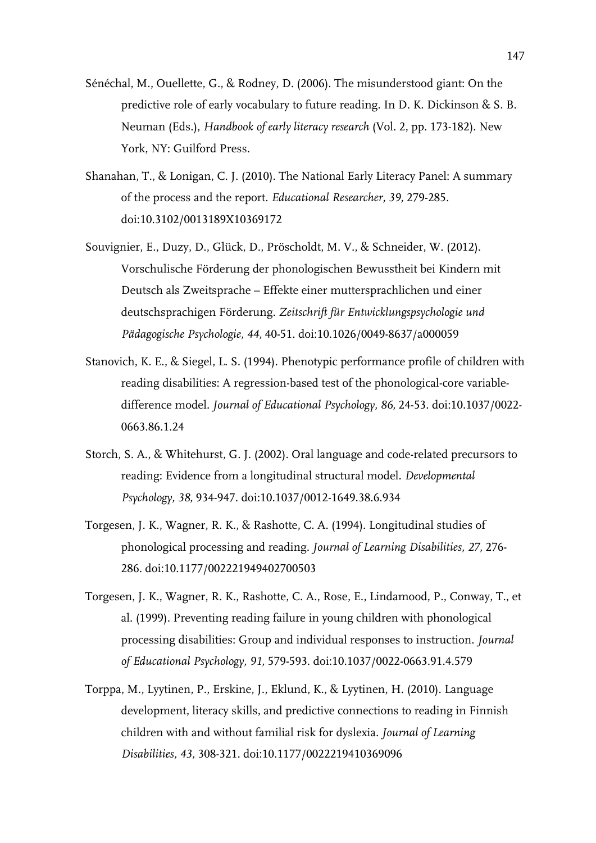- Sénéchal, M., Ouellette, G., & Rodney, D. (2006). The misunderstood giant: On the predictive role of early vocabulary to future reading. In D. K. Dickinson & S. B. Neuman (Eds.), *Handbook of early literacy research* (Vol. 2, pp. 173-182). New York, NY: Guilford Press.
- Shanahan, T., & Lonigan, C. J. (2010). The National Early Literacy Panel: A summary of the process and the report. *Educational Researcher, 39,* 279-285. doi:10.3102/0013189X10369172
- Souvignier, E., Duzy, D., Glück, D., Pröscholdt, M. V., & Schneider, W. (2012). Vorschulische Förderung der phonologischen Bewusstheit bei Kindern mit Deutsch als Zweitsprache – Effekte einer muttersprachlichen und einer deutschsprachigen Förderung. *Zeitschrift für Entwicklungspsychologie und Pädagogische Psychologie, 44,* 40-51. doi:10.1026/0049-8637/a000059
- Stanovich, K. E., & Siegel, L. S. (1994). Phenotypic performance profile of children with reading disabilities: A regression-based test of the phonological-core variabledifference model. *Journal of Educational Psychology, 86,* 24-53. doi:10.1037/0022- 0663.86.1.24
- Storch, S. A., & Whitehurst, G. J. (2002). Oral language and code-related precursors to reading: Evidence from a longitudinal structural model. *Developmental Psychology, 38,* 934-947. doi:10.1037/0012-1649.38.6.934
- Torgesen, J. K., Wagner, R. K., & Rashotte, C. A. (1994). Longitudinal studies of phonological processing and reading. *Journal of Learning Disabilities, 27,* 276- 286. doi:10.1177/002221949402700503
- Torgesen, J. K., Wagner, R. K., Rashotte, C. A., Rose, E., Lindamood, P., Conway, T., et al. (1999). Preventing reading failure in young children with phonological processing disabilities: Group and individual responses to instruction. *Journal of Educational Psychology, 91,* 579-593. doi:10.1037/0022-0663.91.4.579
- Torppa, M., Lyytinen, P., Erskine, J., Eklund, K., & Lyytinen, H. (2010). Language development, literacy skills, and predictive connections to reading in Finnish children with and without familial risk for dyslexia. *Journal of Learning Disabilities, 43,* 308-321. doi:10.1177/0022219410369096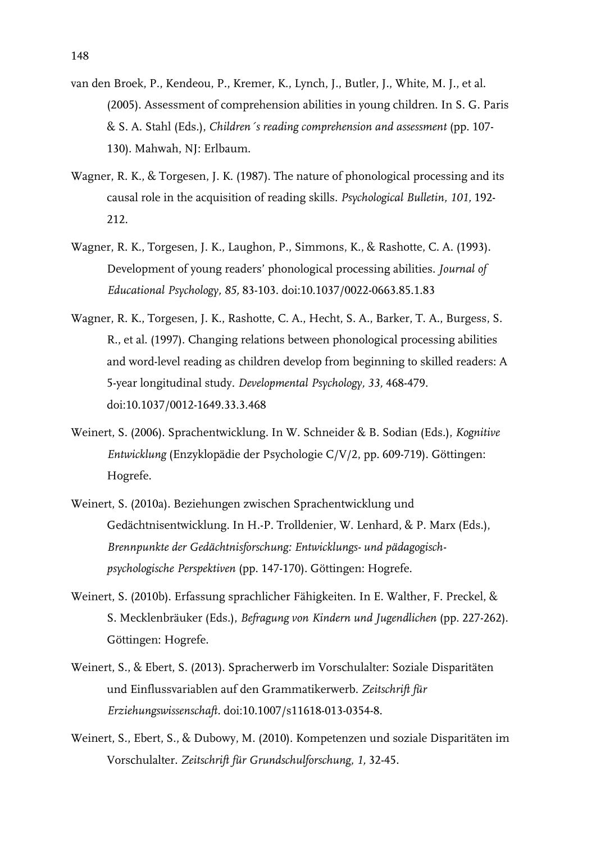- van den Broek, P., Kendeou, P., Kremer, K., Lynch, J., Butler, J., White, M. J., et al. (2005). Assessment of comprehension abilities in young children. In S. G. Paris & S. A. Stahl (Eds.), *Children´s reading comprehension and assessment* (pp. 107- 130). Mahwah, NJ: Erlbaum.
- Wagner, R. K., & Torgesen, J. K. (1987). The nature of phonological processing and its causal role in the acquisition of reading skills. *Psychological Bulletin, 101,* 192- 212.
- Wagner, R. K., Torgesen, J. K., Laughon, P., Simmons, K., & Rashotte, C. A. (1993). Development of young readers' phonological processing abilities. *Journal of Educational Psychology, 85,* 83-103. doi:10.1037/0022-0663.85.1.83
- Wagner, R. K., Torgesen, J. K., Rashotte, C. A., Hecht, S. A., Barker, T. A., Burgess, S. R., et al. (1997). Changing relations between phonological processing abilities and word-level reading as children develop from beginning to skilled readers: A 5-year longitudinal study. *Developmental Psychology, 33,* 468-479. doi:10.1037/0012-1649.33.3.468
- Weinert, S. (2006). Sprachentwicklung. In W. Schneider & B. Sodian (Eds.), *Kognitive Entwicklung* (Enzyklopädie der Psychologie C/V/2, pp. 609-719). Göttingen: Hogrefe.
- Weinert, S. (2010a). Beziehungen zwischen Sprachentwicklung und Gedächtnisentwicklung. In H.-P. Trolldenier, W. Lenhard, & P. Marx (Eds.), *Brennpunkte der Gedächtnisforschung: Entwicklungs- und pädagogischpsychologische Perspektiven* (pp. 147-170). Göttingen: Hogrefe.
- Weinert, S. (2010b). Erfassung sprachlicher Fähigkeiten. In E. Walther, F. Preckel, & S. Mecklenbräuker (Eds.), *Befragung von Kindern und Jugendlichen* (pp. 227-262). Göttingen: Hogrefe.
- Weinert, S., & Ebert, S. (2013). Spracherwerb im Vorschulalter: Soziale Disparitäten und Einflussvariablen auf den Grammatikerwerb. *Zeitschrift für Erziehungswissenschaft.* doi:10.1007/s11618-013-0354-8.
- Weinert, S., Ebert, S., & Dubowy, M. (2010). Kompetenzen und soziale Disparitäten im Vorschulalter. *Zeitschrift für Grundschulforschung, 1,* 32-45.